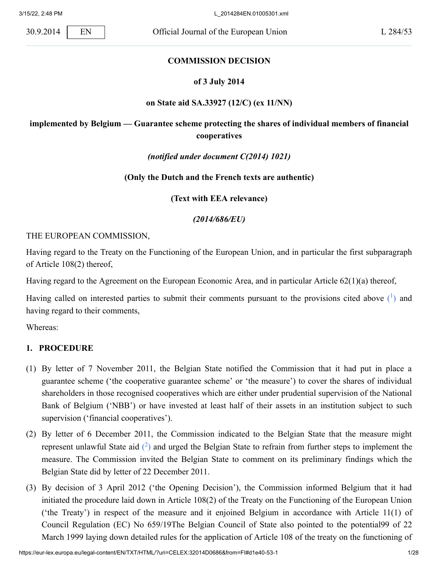### **COMMISSION DECISION**

### **of 3 July 2014**

### **on State aid SA.33927 (12/C) (ex 11/NN)**

# **implemented by Belgium — Guarantee scheme protecting the shares of individual members of financial cooperatives**

### *(notified under document C(2014) 1021)*

### **(Only the Dutch and the French texts are authentic)**

**(Text with EEA relevance)**

<span id="page-0-0"></span>*(2014/686/EU)*

### THE EUROPEAN COMMISSION,

Having regard to the Treaty on the Functioning of the European Union, and in particular the first subparagraph of Article 108(2) thereof,

Having regard to the Agreement on the European Economic Area, and in particular Article 62(1)(a) thereof,

Having called on interested parties to submit their comments pursuant to the provisions cited above  $(1)$  $(1)$  and having regard to their comments,

Whereas:

### **1. PROCEDURE**

- (1) By letter of 7 November 2011, the Belgian State notified the Commission that it had put in place a guarantee scheme ('the cooperative guarantee scheme' or 'the measure') to cover the shares of individual shareholders in those recognised cooperatives which are either under prudential supervision of the National Bank of Belgium ('NBB') or have invested at least half of their assets in an institution subject to such supervision ('financial cooperatives').
- <span id="page-0-1"></span>(2) By letter of 6 December 2011, the Commission indicated to the Belgian State that the measure might represent unlawful State aid  $(2)$  $(2)$  and urged the Belgian State to refrain from further steps to implement the measure. The Commission invited the Belgian State to comment on its preliminary findings which the Belgian State did by letter of 22 December 2011.
- (3) By decision of 3 April 2012 ('the Opening Decision'), the Commission informed Belgium that it had initiated the procedure laid down in Article 108(2) of the Treaty on the Functioning of the European Union ('the Treaty') in respect of the measure and it enjoined Belgium in accordance with Article 11(1) of Council Regulation (EC) No 659/19The Belgian Council of State also pointed to the potential99 of 22 March 1999 laying down detailed rules for the application of Article 108 of the treaty on the functioning of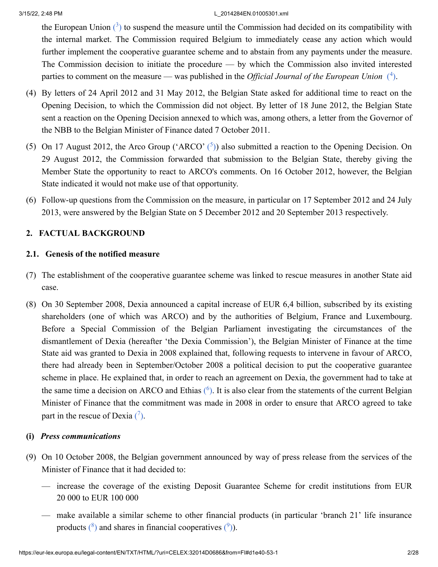<span id="page-1-1"></span><span id="page-1-0"></span>the European Union  $(3)$  $(3)$  to suspend the measure until the Commission had decided on its compatibility with the internal market. The Commission required Belgium to immediately cease any action which would further implement the cooperative guarantee scheme and to abstain from any payments under the measure. The Commission decision to initiate the procedure — by which the Commission also invited interested parties to comment on the measure — was published in the *Official Journal of the European Union* [\(](#page-22-3)<sup>4</sup>).

- (4) By letters of 24 April 2012 and 31 May 2012, the Belgian State asked for additional time to react on the Opening Decision, to which the Commission did not object. By letter of 18 June 2012, the Belgian State sent a reaction on the Opening Decision annexed to which was, among others, a letter from the Governor of the NBB to the Belgian Minister of Finance dated 7 October 2011.
- <span id="page-1-2"></span>(5) On 17 August 2012, the Arco Group ('ARCO'  $(5)$ ) also submitted a reaction to the Opening Decision. On 29 August 2012, the Commission forwarded that submission to the Belgian State, thereby giving the Member State the opportunity to react to ARCO's comments. On 16 October 2012, however, the Belgian State indicated it would not make use of that opportunity.
- (6) Follow-up questions from the Commission on the measure, in particular on 17 September 2012 and 24 July 2013, were answered by the Belgian State on 5 December 2012 and 20 September 2013 respectively.

# **2. FACTUAL BACKGROUND**

# **2.1. Genesis of the notified measure**

- (7) The establishment of the cooperative guarantee scheme was linked to rescue measures in another State aid case.
- (8) On 30 September 2008, Dexia announced a capital increase of EUR 6,4 billion, subscribed by its existing shareholders (one of which was ARCO) and by the authorities of Belgium, France and Luxembourg. Before a Special Commission of the Belgian Parliament investigating the circumstances of the dismantlement of Dexia (hereafter 'the Dexia Commission'), the Belgian Minister of Finance at the time State aid was granted to Dexia in 2008 explained that, following requests to intervene in favour of ARCO, there had already been in September/October 2008 a political decision to put the cooperative guarantee scheme in place. He explained that, in order to reach an agreement on Dexia, the government had to take at the same time a decision on ARCO and Ethias  $(6)$ . It is also clear from the statements of the current Belgian Minister of Finance that the commitment was made in 2008 in order to ensure that ARCO agreed to take part in the rescue of Dexia  $\binom{7}{1}$ .

# <span id="page-1-4"></span><span id="page-1-3"></span>**(i)** *Press communications*

- <span id="page-1-6"></span><span id="page-1-5"></span>(9) On 10 October 2008, the Belgian government announced by way of press release from the services of the Minister of Finance that it had decided to:
	- increase the coverage of the existing Deposit Guarantee Scheme for credit institutions from EUR 20 000 to EUR 100 000
	- make available a similar scheme to other financial products (in particular 'branch 21' life insurance products  $(^{8})$  $(^{8})$  and shares in financial cooperatives  $(^{9})$ ).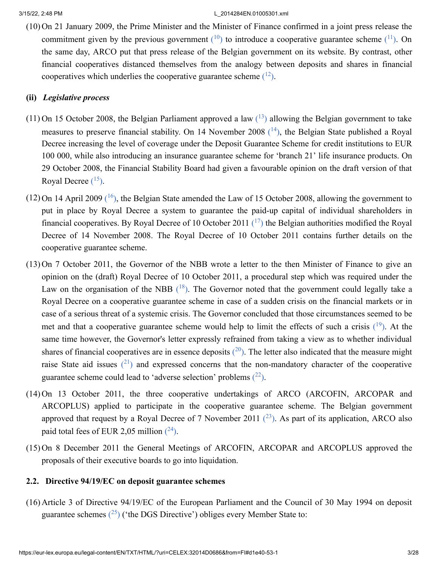<span id="page-2-1"></span><span id="page-2-0"></span>(10) On 21 January 2009, the Prime Minister and the Minister of Finance confirmed in a joint press release the commitment given by the previous government  $(10)$  $(10)$  $(10)$  to introduce a cooperative guarantee scheme  $(11)$  $(11)$  $(11)$ . On the same day, ARCO put that press release of the Belgian government on its website. By contrast, other financial cooperatives distanced themselves from the analogy between deposits and shares in financial cooperatives which underlies the cooperative guarantee scheme  $(12)$  $(12)$  $(12)$ .

### <span id="page-2-2"></span>**(ii)** *Legislative process*

- <span id="page-2-4"></span><span id="page-2-3"></span> $(11)$  On 15 October 2008, the Belgian Parliament approved a law  $(^{13})$  $(^{13})$  $(^{13})$  allowing the Belgian government to take measures to preserve financial stability. On [14](#page-23-6) November 2008  $(14)$ , the Belgian State published a Royal Decree increasing the level of coverage under the Deposit Guarantee Scheme for credit institutions to EUR 100 000, while also introducing an insurance guarantee scheme for 'branch 21' life insurance products. On 29 October 2008, the Financial Stability Board had given a favourable opinion on the draft version of that Royal Decree  $(^{15})$  $(^{15})$  $(^{15})$ .
- <span id="page-2-7"></span><span id="page-2-6"></span><span id="page-2-5"></span> $(12)$  On 14 April 2009  $(16)$  $(16)$  $(16)$ , the Belgian State amended the Law of 15 October 2008, allowing the government to put in place by Royal Decree a system to guarantee the paid-up capital of individual shareholders in financial cooperatives. By Royal Decree of 10 October 2011  $(17)$  $(17)$  $(17)$  the Belgian authorities modified the Royal Decree of 14 November 2008. The Royal Decree of 10 October 2011 contains further details on the cooperative guarantee scheme.
- <span id="page-2-9"></span><span id="page-2-8"></span>(13) On 7 October 2011, the Governor of the NBB wrote a letter to the then Minister of Finance to give an opinion on the (draft) Royal Decree of 10 October 2011, a procedural step which was required under the Law on the organisation of the NBB  $(^{18})$  $(^{18})$  $(^{18})$ . The Governor noted that the government could legally take a Royal Decree on a cooperative guarantee scheme in case of a sudden crisis on the financial markets or in case of a serious threat of a systemic crisis. The Governor concluded that those circumstances seemed to be met and that a cooperative guarantee scheme would help to limit the effects of such a crisis  $(19)$  $(19)$  $(19)$ . At the same time however, the Governor's letter expressly refrained from taking a view as to whether individual shares of financial cooperatives are in essence deposits  $(2^0)$ . The letter also indicated that the measure might raise State aid issues  $(21)$  $(21)$  $(21)$  and expressed concerns that the non-mandatory character of the cooperative guarantee scheme could lead to 'adverse selection' problems  $(^{22})$  $(^{22})$  $(^{22})$ .
- <span id="page-2-13"></span><span id="page-2-12"></span><span id="page-2-11"></span><span id="page-2-10"></span>(14) On 13 October 2011, the three cooperative undertakings of ARCO (ARCOFIN, ARCOPAR and ARCOPLUS) applied to participate in the cooperative guarantee scheme. The Belgian government approved that request by a Royal Decree of 7 November 2011  $(^{23})$  $(^{23})$  $(^{23})$ . As part of its application, ARCO also paid total fees of EUR 2,05 million  $(^{24})$  $(^{24})$  $(^{24})$ .
- <span id="page-2-14"></span>(15) On 8 December 2011 the General Meetings of ARCOFIN, ARCOPAR and ARCOPLUS approved the proposals of their executive boards to go into liquidation.

### **2.2. Directive 94/19/EC on deposit guarantee schemes**

<span id="page-2-15"></span>(16) Article 3 of Directive 94/19/EC of the European Parliament and the Council of 30 May 1994 on deposit guarantee schemes  $(^{25})$  $(^{25})$  $(^{25})$  ('the DGS Directive') obliges every Member State to: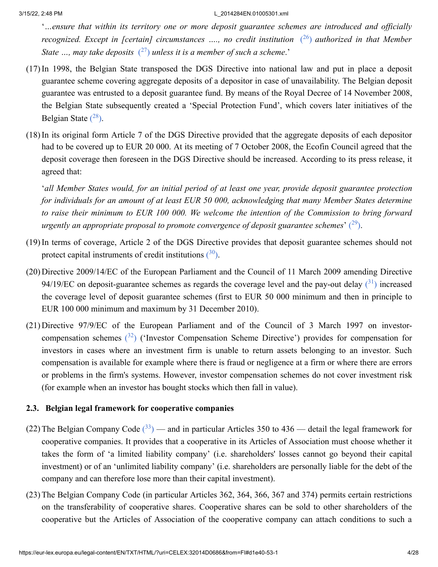<span id="page-3-1"></span><span id="page-3-0"></span>'*…ensure that within its territory one or more deposit guarantee schemes are introduced and officially recognized. Except in [certain] circumstances …., no credit institution* ( [26](#page-24-4) ) *authorized in that Member State …, may take deposits* ( [27](#page-24-5) ) *unless it is a member of such a scheme*.'

- (17)In 1998, the Belgian State transposed the DGS Directive into national law and put in place a deposit guarantee scheme covering aggregate deposits of a depositor in case of unavailability. The Belgian deposit guarantee was entrusted to a deposit guarantee fund. By means of the Royal Decree of 14 November 2008, the Belgian State subsequently created a 'Special Protection Fund', which covers later initiatives of the Belgian State  $(^{28})$  $(^{28})$  $(^{28})$ .
- <span id="page-3-2"></span>(18)In its original form Article 7 of the DGS Directive provided that the aggregate deposits of each depositor had to be covered up to EUR 20 000. At its meeting of 7 October 2008, the Ecofin Council agreed that the deposit coverage then foreseen in the DGS Directive should be increased. According to its press release, it agreed that:

<span id="page-3-5"></span><span id="page-3-4"></span><span id="page-3-3"></span>'*all Member States would, for an initial period of at least one year, provide deposit guarantee protection for individuals for an amount of at least EUR 50 000, acknowledging that many Member States determine to raise their minimum to EUR 100 000. We welcome the intention of the Commission to bring forward* urgently an appropriate proposal to promote convergence of deposit guarantee schemes' (<sup>[29](#page-24-7)</sup>).

- (19)In terms of coverage, Article 2 of the DGS Directive provides that deposit guarantee schemes should not protect capital instruments of credit institutions  $(30)$  $(30)$  $(30)$ .
- (20) Directive 2009/14/EC of the European Parliament and the Council of 11 March 2009 amending Directive 94/19/EC on deposit-guarantee schemes as regards the coverage level and the pay-out delay  $(31)$  $(31)$  $(31)$  increased the coverage level of deposit guarantee schemes (first to EUR 50 000 minimum and then in principle to EUR 100 000 minimum and maximum by 31 December 2010).
- <span id="page-3-6"></span>(21) Directive 97/9/EC of the European Parliament and of the Council of 3 March 1997 on investorcompensation schemes  $(32)$  $(32)$  $(32)$  ('Investor Compensation Scheme Directive') provides for compensation for investors in cases where an investment firm is unable to return assets belonging to an investor. Such compensation is available for example where there is fraud or negligence at a firm or where there are errors or problems in the firm's systems. However, investor compensation schemes do not cover investment risk (for example when an investor has bought stocks which then fall in value).

### **2.3. Belgian legal framework for cooperative companies**

- <span id="page-3-7"></span>(22) The Belgian Company Code  $(^{33})$  $(^{33})$  $(^{33})$  — and in particular Articles 350 to 436 — detail the legal framework for cooperative companies. It provides that a cooperative in its Articles of Association must choose whether it takes the form of 'a limited liability company' (i.e. shareholders' losses cannot go beyond their capital investment) or of an 'unlimited liability company' (i.e. shareholders are personally liable for the debt of the company and can therefore lose more than their capital investment).
- (23)The Belgian Company Code (in particular Articles 362, 364, 366, 367 and 374) permits certain restrictions on the transferability of cooperative shares. Cooperative shares can be sold to other shareholders of the cooperative but the Articles of Association of the cooperative company can attach conditions to such a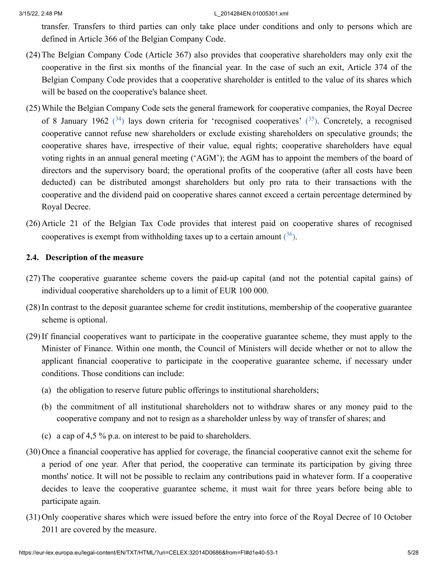transfer. Transfers to third parties can only take place under conditions and only to persons which are defined in Article 366 of the Belgian Company Code.

- (24)The Belgian Company Code (Article 367) also provides that cooperative shareholders may only exit the cooperative in the first six months of the financial year. In the case of such an exit, Article 374 of the Belgian Company Code provides that a cooperative shareholder is entitled to the value of its shares which will be based on the cooperative's balance sheet.
- <span id="page-4-1"></span><span id="page-4-0"></span>(25)While the Belgian Company Code sets the general framework for cooperative companies, the Royal Decree of 8 January 1962  $(34)$  $(34)$  $(34)$  lays down criteria for 'recognised cooperatives'  $(35)$  $(35)$  $(35)$ . Concretely, a recognised cooperative cannot refuse new shareholders or exclude existing shareholders on speculative grounds; the cooperative shares have, irrespective of their value, equal rights; cooperative shareholders have equal voting rights in an annual general meeting ('AGM'); the AGM has to appoint the members of the board of directors and the supervisory board; the operational profits of the cooperative (after all costs have been deducted) can be distributed amongst shareholders but only pro rata to their transactions with the cooperative and the dividend paid on cooperative shares cannot exceed a certain percentage determined by Royal Decree.
- <span id="page-4-2"></span>(26) Article 21 of the Belgian Tax Code provides that interest paid on cooperative shares of recognised cooperatives is exempt from withholding taxes up to a certain amount  $(36)$  $(36)$  $(36)$ .

# **2.4. Description of the measure**

- (27)The cooperative guarantee scheme covers the paid-up capital (and not the potential capital gains) of individual cooperative shareholders up to a limit of EUR 100 000.
- (28)In contrast to the deposit guarantee scheme for credit institutions, membership of the cooperative guarantee scheme is optional.
- (29)If financial cooperatives want to participate in the cooperative guarantee scheme, they must apply to the Minister of Finance. Within one month, the Council of Ministers will decide whether or not to allow the applicant financial cooperative to participate in the cooperative guarantee scheme, if necessary under conditions. Those conditions can include:
	- (a) the obligation to reserve future public offerings to institutional shareholders;
	- (b) the commitment of all institutional shareholders not to withdraw shares or any money paid to the cooperative company and not to resign as a shareholder unless by way of transfer of shares; and
	- (c) a cap of 4,5 % p.a. on interest to be paid to shareholders.
- (30) Once a financial cooperative has applied for coverage, the financial cooperative cannot exit the scheme for a period of one year. After that period, the cooperative can terminate its participation by giving three months' notice. It will not be possible to reclaim any contributions paid in whatever form. If a cooperative decides to leave the cooperative guarantee scheme, it must wait for three years before being able to participate again.
- (31) Only cooperative shares which were issued before the entry into force of the Royal Decree of 10 October 2011 are covered by the measure.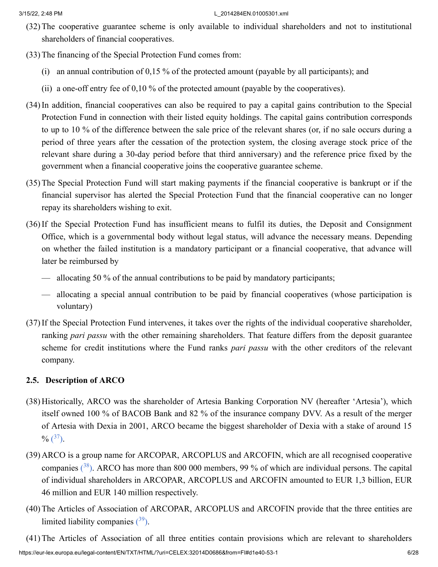- (32)The cooperative guarantee scheme is only available to individual shareholders and not to institutional shareholders of financial cooperatives.
- (33)The financing of the Special Protection Fund comes from:
	- (i) an annual contribution of 0,15 % of the protected amount (payable by all participants); and
	- (ii) a one-off entry fee of 0,10 % of the protected amount (payable by the cooperatives).
- (34)In addition, financial cooperatives can also be required to pay a capital gains contribution to the Special Protection Fund in connection with their listed equity holdings. The capital gains contribution corresponds to up to 10 % of the difference between the sale price of the relevant shares (or, if no sale occurs during a period of three years after the cessation of the protection system, the closing average stock price of the relevant share during a 30-day period before that third anniversary) and the reference price fixed by the government when a financial cooperative joins the cooperative guarantee scheme.
- (35)The Special Protection Fund will start making payments if the financial cooperative is bankrupt or if the financial supervisor has alerted the Special Protection Fund that the financial cooperative can no longer repay its shareholders wishing to exit.
- (36)If the Special Protection Fund has insufficient means to fulfil its duties, the Deposit and Consignment Office, which is a governmental body without legal status, will advance the necessary means. Depending on whether the failed institution is a mandatory participant or a financial cooperative, that advance will later be reimbursed by
	- allocating 50 % of the annual contributions to be paid by mandatory participants;
	- allocating a special annual contribution to be paid by financial cooperatives (whose participation is voluntary)
- (37)If the Special Protection Fund intervenes, it takes over the rights of the individual cooperative shareholder, ranking *pari passu* with the other remaining shareholders. That feature differs from the deposit guarantee scheme for credit institutions where the Fund ranks *pari passu* with the other creditors of the relevant company.

# **2.5. Description of ARCO**

- (38) Historically, ARCO was the shareholder of Artesia Banking Corporation NV (hereafter 'Artesia'), which itself owned 100 % of BACOB Bank and 82 % of the insurance company DVV. As a result of the merger of Artesia with Dexia in 2001, ARCO became the biggest shareholder of Dexia with a stake of around 15  $\%$   $(^{37})$  $(^{37})$  $(^{37})$ .
- <span id="page-5-1"></span><span id="page-5-0"></span>(39) ARCO is a group name for ARCOPAR, ARCOPLUS and ARCOFIN, which are all recognised cooperative companies  $(38)$  $(38)$  $(38)$ . ARCO has more than 800 000 members, 99 % of which are individual persons. The capital of individual shareholders in ARCOPAR, ARCOPLUS and ARCOFIN amounted to EUR 1,3 billion, EUR 46 million and EUR 140 million respectively.
- <span id="page-5-2"></span>(40)The Articles of Association of ARCOPAR, ARCOPLUS and ARCOFIN provide that the three entities are limited liability companies  $(39)$  $(39)$  $(39)$ .

https://eur-lex.europa.eu/legal-content/EN/TXT/HTML/?uri=CELEX:32014D0686&from=FI#d1e40-53-1 6/28 (41)The Articles of Association of all three entities contain provisions which are relevant to shareholders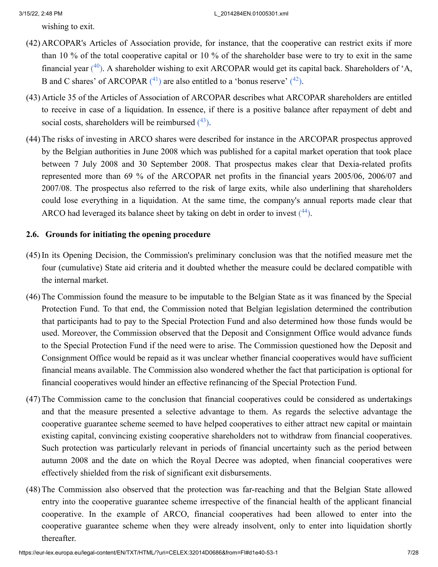<span id="page-6-2"></span><span id="page-6-1"></span><span id="page-6-0"></span>wishing to exit.

- (42) ARCOPAR's Articles of Association provide, for instance, that the cooperative can restrict exits if more than 10 % of the total cooperative capital or 10 % of the shareholder base were to try to exit in the same financial year  $(^{40})$  $(^{40})$  $(^{40})$ . A shareholder wishing to exit ARCOPAR would get its capital back. Shareholders of 'A, B and C shares' of ARCOPAR  $(1)$  are also entitled to a 'bonus reserve'  $(1^2)$ .
- (43) Article 35 of the Articles of Association of ARCOPAR describes what ARCOPAR shareholders are entitled to receive in case of a liquidation. In essence, if there is a positive balance after repayment of debt and social costs, shareholders will be reimbursed  $(^{43})$  $(^{43})$  $(^{43})$ .
- <span id="page-6-3"></span>(44)The risks of investing in ARCO shares were described for instance in the ARCOPAR prospectus approved by the Belgian authorities in June 2008 which was published for a capital market operation that took place between 7 July 2008 and 30 September 2008. That prospectus makes clear that Dexia-related profits represented more than 69 % of the ARCOPAR net profits in the financial years 2005/06, 2006/07 and 2007/08. The prospectus also referred to the risk of large exits, while also underlining that shareholders could lose everything in a liquidation. At the same time, the company's annual reports made clear that ARCO had leveraged its balance sheet by taking on debt in order to invest  $(44)$  $(44)$  $(44)$ .

# <span id="page-6-4"></span>**2.6. Grounds for initiating the opening procedure**

- (45)In its Opening Decision, the Commission's preliminary conclusion was that the notified measure met the four (cumulative) State aid criteria and it doubted whether the measure could be declared compatible with the internal market.
- (46)The Commission found the measure to be imputable to the Belgian State as it was financed by the Special Protection Fund. To that end, the Commission noted that Belgian legislation determined the contribution that participants had to pay to the Special Protection Fund and also determined how those funds would be used. Moreover, the Commission observed that the Deposit and Consignment Office would advance funds to the Special Protection Fund if the need were to arise. The Commission questioned how the Deposit and Consignment Office would be repaid as it was unclear whether financial cooperatives would have sufficient financial means available. The Commission also wondered whether the fact that participation is optional for financial cooperatives would hinder an effective refinancing of the Special Protection Fund.
- (47)The Commission came to the conclusion that financial cooperatives could be considered as undertakings and that the measure presented a selective advantage to them. As regards the selective advantage the cooperative guarantee scheme seemed to have helped cooperatives to either attract new capital or maintain existing capital, convincing existing cooperative shareholders not to withdraw from financial cooperatives. Such protection was particularly relevant in periods of financial uncertainty such as the period between autumn 2008 and the date on which the Royal Decree was adopted, when financial cooperatives were effectively shielded from the risk of significant exit disbursements.
- (48)The Commission also observed that the protection was far-reaching and that the Belgian State allowed entry into the cooperative guarantee scheme irrespective of the financial health of the applicant financial cooperative. In the example of ARCO, financial cooperatives had been allowed to enter into the cooperative guarantee scheme when they were already insolvent, only to enter into liquidation shortly thereafter.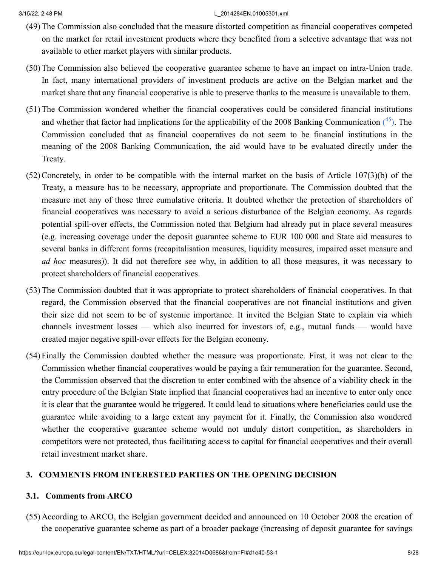- (49)The Commission also concluded that the measure distorted competition as financial cooperatives competed on the market for retail investment products where they benefited from a selective advantage that was not available to other market players with similar products.
- (50)The Commission also believed the cooperative guarantee scheme to have an impact on intra-Union trade. In fact, many international providers of investment products are active on the Belgian market and the market share that any financial cooperative is able to preserve thanks to the measure is unavailable to them.
- <span id="page-7-0"></span>(51)The Commission wondered whether the financial cooperatives could be considered financial institutions and whether that factor had implications for the applicability of the 2008 Banking Communication  $(45)$  $(45)$  $(45)$ . The Commission concluded that as financial cooperatives do not seem to be financial institutions in the meaning of the 2008 Banking Communication, the aid would have to be evaluated directly under the Treaty.
- (52)Concretely, in order to be compatible with the internal market on the basis of Article 107(3)(b) of the Treaty, a measure has to be necessary, appropriate and proportionate. The Commission doubted that the measure met any of those three cumulative criteria. It doubted whether the protection of shareholders of financial cooperatives was necessary to avoid a serious disturbance of the Belgian economy. As regards potential spill-over effects, the Commission noted that Belgium had already put in place several measures (e.g. increasing coverage under the deposit guarantee scheme to EUR 100 000 and State aid measures to several banks in different forms (recapitalisation measures, liquidity measures, impaired asset measure and *ad hoc* measures)). It did not therefore see why, in addition to all those measures, it was necessary to protect shareholders of financial cooperatives.
- (53)The Commission doubted that it was appropriate to protect shareholders of financial cooperatives. In that regard, the Commission observed that the financial cooperatives are not financial institutions and given their size did not seem to be of systemic importance. It invited the Belgian State to explain via which channels investment losses — which also incurred for investors of, e.g., mutual funds — would have created major negative spill-over effects for the Belgian economy.
- (54) Finally the Commission doubted whether the measure was proportionate. First, it was not clear to the Commission whether financial cooperatives would be paying a fair remuneration for the guarantee. Second, the Commission observed that the discretion to enter combined with the absence of a viability check in the entry procedure of the Belgian State implied that financial cooperatives had an incentive to enter only once it is clear that the guarantee would be triggered. It could lead to situations where beneficiaries could use the guarantee while avoiding to a large extent any payment for it. Finally, the Commission also wondered whether the cooperative guarantee scheme would not unduly distort competition, as shareholders in competitors were not protected, thus facilitating access to capital for financial cooperatives and their overall retail investment market share.

# **3. COMMENTS FROM INTERESTED PARTIES ON THE OPENING DECISION**

# **3.1. Comments from ARCO**

(55) According to ARCO, the Belgian government decided and announced on 10 October 2008 the creation of the cooperative guarantee scheme as part of a broader package (increasing of deposit guarantee for savings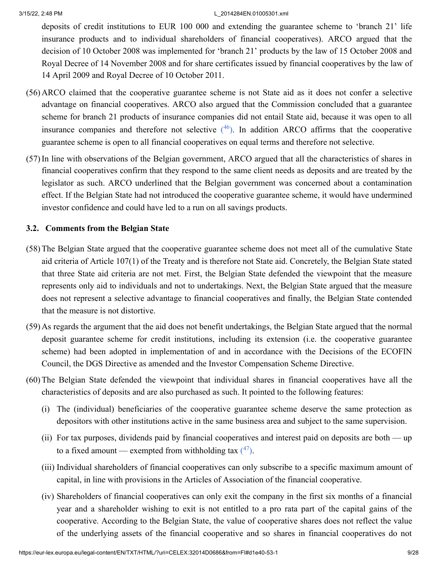deposits of credit institutions to EUR 100 000 and extending the guarantee scheme to 'branch 21' life insurance products and to individual shareholders of financial cooperatives). ARCO argued that the decision of 10 October 2008 was implemented for 'branch 21' products by the law of 15 October 2008 and Royal Decree of 14 November 2008 and for share certificates issued by financial cooperatives by the law of 14 April 2009 and Royal Decree of 10 October 2011.

- (56) ARCO claimed that the cooperative guarantee scheme is not State aid as it does not confer a selective advantage on financial cooperatives. ARCO also argued that the Commission concluded that a guarantee scheme for branch 21 products of insurance companies did not entail State aid, because it was open to all insurance companies and therefore not selective  $(46)$  $(46)$  $(46)$ . In addition ARCO affirms that the cooperative guarantee scheme is open to all financial cooperatives on equal terms and therefore not selective.
- <span id="page-8-0"></span>(57)In line with observations of the Belgian government, ARCO argued that all the characteristics of shares in financial cooperatives confirm that they respond to the same client needs as deposits and are treated by the legislator as such. ARCO underlined that the Belgian government was concerned about a contamination effect. If the Belgian State had not introduced the cooperative guarantee scheme, it would have undermined investor confidence and could have led to a run on all savings products.

# **3.2. Comments from the Belgian State**

- (58)The Belgian State argued that the cooperative guarantee scheme does not meet all of the cumulative State aid criteria of Article 107(1) of the Treaty and is therefore not State aid. Concretely, the Belgian State stated that three State aid criteria are not met. First, the Belgian State defended the viewpoint that the measure represents only aid to individuals and not to undertakings. Next, the Belgian State argued that the measure does not represent a selective advantage to financial cooperatives and finally, the Belgian State contended that the measure is not distortive.
- (59) As regards the argument that the aid does not benefit undertakings, the Belgian State argued that the normal deposit guarantee scheme for credit institutions, including its extension (i.e. the cooperative guarantee scheme) had been adopted in implementation of and in accordance with the Decisions of the ECOFIN Council, the DGS Directive as amended and the Investor Compensation Scheme Directive.
- <span id="page-8-1"></span>(60)The Belgian State defended the viewpoint that individual shares in financial cooperatives have all the characteristics of deposits and are also purchased as such. It pointed to the following features:
	- (i) The (individual) beneficiaries of the cooperative guarantee scheme deserve the same protection as depositors with other institutions active in the same business area and subject to the same supervision.
	- (ii) For tax purposes, dividends paid by financial cooperatives and interest paid on deposits are both up to a fixed amount — exempted from withholding tax  $(47)$  $(47)$  $(47)$ .
	- (iii) Individual shareholders of financial cooperatives can only subscribe to a specific maximum amount of capital, in line with provisions in the Articles of Association of the financial cooperative.
	- (iv) Shareholders of financial cooperatives can only exit the company in the first six months of a financial year and a shareholder wishing to exit is not entitled to a pro rata part of the capital gains of the cooperative. According to the Belgian State, the value of cooperative shares does not reflect the value of the underlying assets of the financial cooperative and so shares in financial cooperatives do not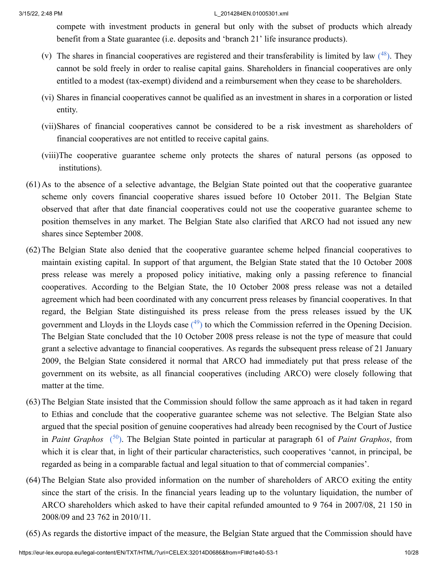<span id="page-9-0"></span>compete with investment products in general but only with the subset of products which already benefit from a State guarantee (i.e. deposits and 'branch 21' life insurance products).

- (v) The shares in financial cooperatives are registered and their transferability is limited by law  $(^{48})$  $(^{48})$  $(^{48})$ . They cannot be sold freely in order to realise capital gains. Shareholders in financial cooperatives are only entitled to a modest (tax-exempt) dividend and a reimbursement when they cease to be shareholders.
- (vi) Shares in financial cooperatives cannot be qualified as an investment in shares in a corporation or listed entity.
- (vii)Shares of financial cooperatives cannot be considered to be a risk investment as shareholders of financial cooperatives are not entitled to receive capital gains.
- (viii)The cooperative guarantee scheme only protects the shares of natural persons (as opposed to institutions).
- (61) As to the absence of a selective advantage, the Belgian State pointed out that the cooperative guarantee scheme only covers financial cooperative shares issued before 10 October 2011. The Belgian State observed that after that date financial cooperatives could not use the cooperative guarantee scheme to position themselves in any market. The Belgian State also clarified that ARCO had not issued any new shares since September 2008.
- <span id="page-9-1"></span>(62)The Belgian State also denied that the cooperative guarantee scheme helped financial cooperatives to maintain existing capital. In support of that argument, the Belgian State stated that the 10 October 2008 press release was merely a proposed policy initiative, making only a passing reference to financial cooperatives. According to the Belgian State, the 10 October 2008 press release was not a detailed agreement which had been coordinated with any concurrent press releases by financial cooperatives. In that regard, the Belgian State distinguished its press release from the press releases issued by the UK government and Lloyds in the Lloyds case  $(49)$  $(49)$  $(49)$  to which the Commission referred in the Opening Decision. The Belgian State concluded that the 10 October 2008 press release is not the type of measure that could grant a selective advantage to financial cooperatives. As regards the subsequent press release of 21 January 2009, the Belgian State considered it normal that ARCO had immediately put that press release of the government on its website, as all financial cooperatives (including ARCO) were closely following that matter at the time.
- <span id="page-9-2"></span>(63)The Belgian State insisted that the Commission should follow the same approach as it had taken in regard to Ethias and conclude that the cooperative guarantee scheme was not selective. The Belgian State also argued that the special position of genuine cooperatives had already been recognised by the Court of Justice in *Paint Graphos* ( [50](#page-25-7) ). The Belgian State pointed in particular at paragraph 61 of *Paint Graphos*, from which it is clear that, in light of their particular characteristics, such cooperatives 'cannot, in principal, be regarded as being in a comparable factual and legal situation to that of commercial companies'.
- (64)The Belgian State also provided information on the number of shareholders of ARCO exiting the entity since the start of the crisis. In the financial years leading up to the voluntary liquidation, the number of ARCO shareholders which asked to have their capital refunded amounted to 9 764 in 2007/08, 21 150 in 2008/09 and 23 762 in 2010/11.
- (65) As regards the distortive impact of the measure, the Belgian State argued that the Commission should have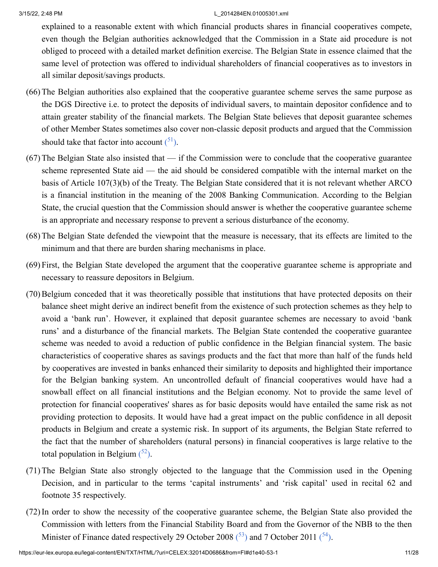explained to a reasonable extent with which financial products shares in financial cooperatives compete, even though the Belgian authorities acknowledged that the Commission in a State aid procedure is not obliged to proceed with a detailed market definition exercise. The Belgian State in essence claimed that the same level of protection was offered to individual shareholders of financial cooperatives as to investors in all similar deposit/savings products.

- (66)The Belgian authorities also explained that the cooperative guarantee scheme serves the same purpose as the DGS Directive i.e. to protect the deposits of individual savers, to maintain depositor confidence and to attain greater stability of the financial markets. The Belgian State believes that deposit guarantee schemes of other Member States sometimes also cover non-classic deposit products and argued that the Commission should take that factor into account  $(^{51})$  $(^{51})$  $(^{51})$ .
- <span id="page-10-0"></span>(67)The Belgian State also insisted that — if the Commission were to conclude that the cooperative guarantee scheme represented State aid — the aid should be considered compatible with the internal market on the basis of Article 107(3)(b) of the Treaty. The Belgian State considered that it is not relevant whether ARCO is a financial institution in the meaning of the 2008 Banking Communication. According to the Belgian State, the crucial question that the Commission should answer is whether the cooperative guarantee scheme is an appropriate and necessary response to prevent a serious disturbance of the economy.
- (68)The Belgian State defended the viewpoint that the measure is necessary, that its effects are limited to the minimum and that there are burden sharing mechanisms in place.
- (69) First, the Belgian State developed the argument that the cooperative guarantee scheme is appropriate and necessary to reassure depositors in Belgium.
- (70)Belgium conceded that it was theoretically possible that institutions that have protected deposits on their balance sheet might derive an indirect benefit from the existence of such protection schemes as they help to avoid a 'bank run'. However, it explained that deposit guarantee schemes are necessary to avoid 'bank runs' and a disturbance of the financial markets. The Belgian State contended the cooperative guarantee scheme was needed to avoid a reduction of public confidence in the Belgian financial system. The basic characteristics of cooperative shares as savings products and the fact that more than half of the funds held by cooperatives are invested in banks enhanced their similarity to deposits and highlighted their importance for the Belgian banking system. An uncontrolled default of financial cooperatives would have had a snowball effect on all financial institutions and the Belgian economy. Not to provide the same level of protection for financial cooperatives' shares as for basic deposits would have entailed the same risk as not providing protection to deposits. It would have had a great impact on the public confidence in all deposit products in Belgium and create a systemic risk. In support of its arguments, the Belgian State referred to the fact that the number of shareholders (natural persons) in financial cooperatives is large relative to the total population in Belgium  $(^{52})$  $(^{52})$  $(^{52})$ .
- <span id="page-10-1"></span>(71)The Belgian State also strongly objected to the language that the Commission used in the Opening Decision, and in particular to the terms 'capital instruments' and 'risk capital' used in recital 62 and footnote 35 respectively.
- <span id="page-10-3"></span><span id="page-10-2"></span>(72)In order to show the necessity of the cooperative guarantee scheme, the Belgian State also provided the Commission with letters from the Financial Stability Board and from the Governor of the NBB to the then Minister of Finance dated respectively 29 October 2008  $(^{53})$  $(^{53})$  $(^{53})$  and 7 October 2011  $(^{54})$  $(^{54})$  $(^{54})$ .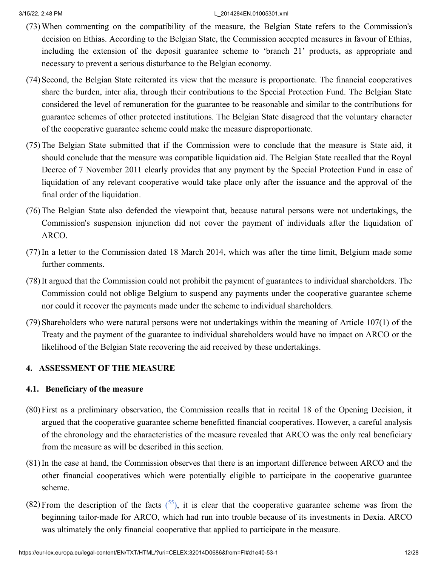- (73)When commenting on the compatibility of the measure, the Belgian State refers to the Commission's decision on Ethias. According to the Belgian State, the Commission accepted measures in favour of Ethias, including the extension of the deposit guarantee scheme to 'branch 21' products, as appropriate and necessary to prevent a serious disturbance to the Belgian economy.
- (74) Second, the Belgian State reiterated its view that the measure is proportionate. The financial cooperatives share the burden, inter alia, through their contributions to the Special Protection Fund. The Belgian State considered the level of remuneration for the guarantee to be reasonable and similar to the contributions for guarantee schemes of other protected institutions. The Belgian State disagreed that the voluntary character of the cooperative guarantee scheme could make the measure disproportionate.
- (75)The Belgian State submitted that if the Commission were to conclude that the measure is State aid, it should conclude that the measure was compatible liquidation aid. The Belgian State recalled that the Royal Decree of 7 November 2011 clearly provides that any payment by the Special Protection Fund in case of liquidation of any relevant cooperative would take place only after the issuance and the approval of the final order of the liquidation.
- (76)The Belgian State also defended the viewpoint that, because natural persons were not undertakings, the Commission's suspension injunction did not cover the payment of individuals after the liquidation of ARCO.
- (77)In a letter to the Commission dated 18 March 2014, which was after the time limit, Belgium made some further comments.
- (78)It argued that the Commission could not prohibit the payment of guarantees to individual shareholders. The Commission could not oblige Belgium to suspend any payments under the cooperative guarantee scheme nor could it recover the payments made under the scheme to individual shareholders.
- (79) Shareholders who were natural persons were not undertakings within the meaning of Article 107(1) of the Treaty and the payment of the guarantee to individual shareholders would have no impact on ARCO or the likelihood of the Belgian State recovering the aid received by these undertakings.

# **4. ASSESSMENT OF THE MEASURE**

# **4.1. Beneficiary of the measure**

- (80) First as a preliminary observation, the Commission recalls that in recital 18 of the Opening Decision, it argued that the cooperative guarantee scheme benefitted financial cooperatives. However, a careful analysis of the chronology and the characteristics of the measure revealed that ARCO was the only real beneficiary from the measure as will be described in this section.
- (81)In the case at hand, the Commission observes that there is an important difference between ARCO and the other financial cooperatives which were potentially eligible to participate in the cooperative guarantee scheme.
- <span id="page-11-0"></span>(82) From the description of the facts  $(55)$  $(55)$  $(55)$ , it is clear that the cooperative guarantee scheme was from the beginning tailor-made for ARCO, which had run into trouble because of its investments in Dexia. ARCO was ultimately the only financial cooperative that applied to participate in the measure.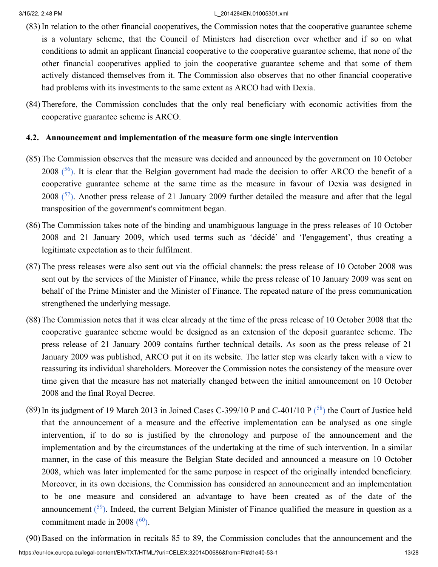- (83)In relation to the other financial cooperatives, the Commission notes that the cooperative guarantee scheme is a voluntary scheme, that the Council of Ministers had discretion over whether and if so on what conditions to admit an applicant financial cooperative to the cooperative guarantee scheme, that none of the other financial cooperatives applied to join the cooperative guarantee scheme and that some of them actively distanced themselves from it. The Commission also observes that no other financial cooperative had problems with its investments to the same extent as ARCO had with Dexia.
- (84)Therefore, the Commission concludes that the only real beneficiary with economic activities from the cooperative guarantee scheme is ARCO.

### **4.2. Announcement and implementation of the measure form one single intervention**

- <span id="page-12-0"></span>(85)The Commission observes that the measure was decided and announced by the government on 10 October 2008  $(56)$  $(56)$  $(56)$ . It is clear that the Belgian government had made the decision to offer ARCO the benefit of a cooperative guarantee scheme at the same time as the measure in favour of Dexia was designed in 2008  $(57)$  $(57)$  $(57)$ . Another press release of 21 January 2009 further detailed the measure and after that the legal transposition of the government's commitment began.
- <span id="page-12-1"></span>(86)The Commission takes note of the binding and unambiguous language in the press releases of 10 October 2008 and 21 January 2009, which used terms such as 'décidé' and 'l'engagement', thus creating a legitimate expectation as to their fulfilment.
- (87)The press releases were also sent out via the official channels: the press release of 10 October 2008 was sent out by the services of the Minister of Finance, while the press release of 10 January 2009 was sent on behalf of the Prime Minister and the Minister of Finance. The repeated nature of the press communication strengthened the underlying message.
- (88)The Commission notes that it was clear already at the time of the press release of 10 October 2008 that the cooperative guarantee scheme would be designed as an extension of the deposit guarantee scheme. The press release of 21 January 2009 contains further technical details. As soon as the press release of 21 January 2009 was published, ARCO put it on its website. The latter step was clearly taken with a view to reassuring its individual shareholders. Moreover the Commission notes the consistency of the measure over time given that the measure has not materially changed between the initial announcement on 10 October 2008 and the final Royal Decree.
- <span id="page-12-2"></span>(89) In its judgment of 19 March 2013 in Joined Cases C-399/10 P and C-401/10 P  $(^{58})$  $(^{58})$  $(^{58})$  the Court of Justice held that the announcement of a measure and the effective implementation can be analysed as one single intervention, if to do so is justified by the chronology and purpose of the announcement and the implementation and by the circumstances of the undertaking at the time of such intervention. In a similar manner, in the case of this measure the Belgian State decided and announced a measure on 10 October 2008, which was later implemented for the same purpose in respect of the originally intended beneficiary. Moreover, in its own decisions, the Commission has considered an announcement and an implementation to be one measure and considered an advantage to have been created as of the date of the announcement  $(59)$  $(59)$  $(59)$ . Indeed, the current Belgian Minister of Finance qualified the measure in question as a commitment made in 2008  $(60)$  $(60)$  $(60)$ .

<span id="page-12-4"></span><span id="page-12-3"></span>https://eur-lex.europa.eu/legal-content/EN/TXT/HTML/?uri=CELEX:32014D0686&from=FI#d1e40-53-1 13/28 (90)Based on the information in recitals 85 to 89, the Commission concludes that the announcement and the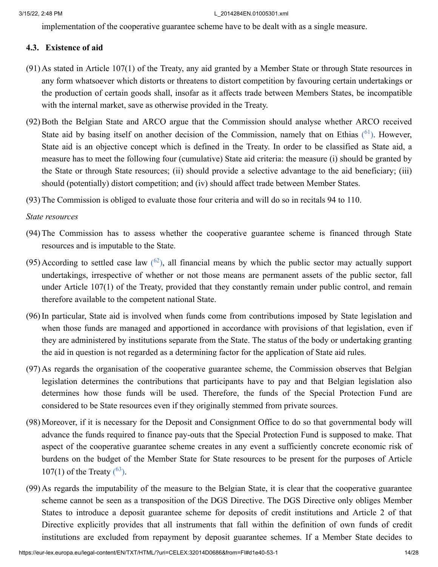implementation of the cooperative guarantee scheme have to be dealt with as a single measure.

# **4.3. Existence of aid**

- (91) As stated in Article 107(1) of the Treaty, any aid granted by a Member State or through State resources in any form whatsoever which distorts or threatens to distort competition by favouring certain undertakings or the production of certain goods shall, insofar as it affects trade between Members States, be incompatible with the internal market, save as otherwise provided in the Treaty.
- <span id="page-13-0"></span>(92)Both the Belgian State and ARCO argue that the Commission should analyse whether ARCO received State aid by basing itself on another decision of the Commission, namely that on Ethias  $(61)$  $(61)$  $(61)$ . However, State aid is an objective concept which is defined in the Treaty. In order to be classified as State aid, a measure has to meet the following four (cumulative) State aid criteria: the measure (i) should be granted by the State or through State resources; (ii) should provide a selective advantage to the aid beneficiary; (iii) should (potentially) distort competition; and (iv) should affect trade between Member States.
- (93)The Commission is obliged to evaluate those four criteria and will do so in recitals 94 to 110.

### *State resources*

- (94)The Commission has to assess whether the cooperative guarantee scheme is financed through State resources and is imputable to the State.
- <span id="page-13-1"></span>(95) According to settled case law  $\binom{62}{2}$  $\binom{62}{2}$  $\binom{62}{2}$ , all financial means by which the public sector may actually support undertakings, irrespective of whether or not those means are permanent assets of the public sector, fall under Article 107(1) of the Treaty, provided that they constantly remain under public control, and remain therefore available to the competent national State.
- (96)In particular, State aid is involved when funds come from contributions imposed by State legislation and when those funds are managed and apportioned in accordance with provisions of that legislation, even if they are administered by institutions separate from the State. The status of the body or undertaking granting the aid in question is not regarded as a determining factor for the application of State aid rules.
- (97) As regards the organisation of the cooperative guarantee scheme, the Commission observes that Belgian legislation determines the contributions that participants have to pay and that Belgian legislation also determines how those funds will be used. Therefore, the funds of the Special Protection Fund are considered to be State resources even if they originally stemmed from private sources.
- (98)Moreover, if it is necessary for the Deposit and Consignment Office to do so that governmental body will advance the funds required to finance pay-outs that the Special Protection Fund is supposed to make. That aspect of the cooperative guarantee scheme creates in any event a sufficiently concrete economic risk of burdens on the budget of the Member State for State resources to be present for the purposes of Article 107(1) of the Treaty  $(6^3)$ .
- <span id="page-13-2"></span>(99) As regards the imputability of the measure to the Belgian State, it is clear that the cooperative guarantee scheme cannot be seen as a transposition of the DGS Directive. The DGS Directive only obliges Member States to introduce a deposit guarantee scheme for deposits of credit institutions and Article 2 of that Directive explicitly provides that all instruments that fall within the definition of own funds of credit institutions are excluded from repayment by deposit guarantee schemes. If a Member State decides to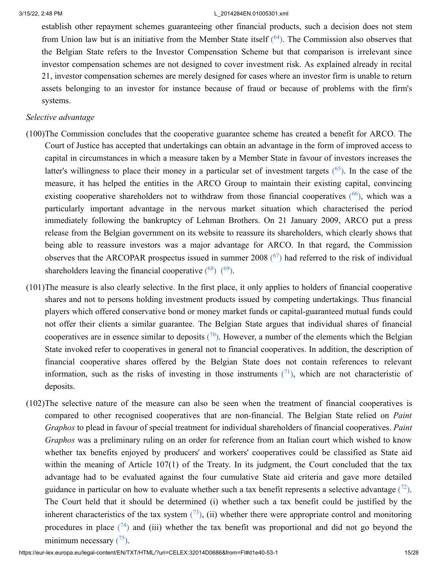<span id="page-14-0"></span>establish other repayment schemes guaranteeing other financial products, such a decision does not stem from Union law but is an initiative from the Member State itself  $(64)$  $(64)$  $(64)$ . The Commission also observes that the Belgian State refers to the Investor Compensation Scheme but that comparison is irrelevant since investor compensation schemes are not designed to cover investment risk. As explained already in recital 21, investor compensation schemes are merely designed for cases where an investor firm is unable to return assets belonging to an investor for instance because of fraud or because of problems with the firm's systems.

### *Selective advantage*

- <span id="page-14-2"></span><span id="page-14-1"></span>(100)The Commission concludes that the cooperative guarantee scheme has created a benefit for ARCO. The Court of Justice has accepted that undertakings can obtain an advantage in the form of improved access to capital in circumstances in which a measure taken by a Member State in favour of investors increases the latter's willingness to place their money in a particular set of investment targets  $(^{65})$  $(^{65})$  $(^{65})$ . In the case of the measure, it has helped the entities in the ARCO Group to maintain their existing capital, convincing existing cooperative shareholders not to withdraw from those financial cooperatives  $(66)$  $(66)$  $(66)$ , which was a particularly important advantage in the nervous market situation which characterised the period immediately following the bankruptcy of Lehman Brothers. On 21 January 2009, ARCO put a press release from the Belgian government on its website to reassure its shareholders, which clearly shows that being able to reassure investors was a major advantage for ARCO. In that regard, the Commission observes that the ARCOPAR prospectus issued in summer 2008  $(^{67})$  $(^{67})$  $(^{67})$  had referred to the risk of individual shareholders leaving the financial cooperative  $(^{68})$  $(^{68})$  $(^{68})$   $(^{69})$  $(^{69})$  $(^{69})$ .
- <span id="page-14-6"></span><span id="page-14-5"></span><span id="page-14-4"></span><span id="page-14-3"></span>(101)The measure is also clearly selective. In the first place, it only applies to holders of financial cooperative shares and not to persons holding investment products issued by competing undertakings. Thus financial players which offered conservative bond or money market funds or capital-guaranteed mutual funds could not offer their clients a similar guarantee. The Belgian State argues that individual shares of financial cooperatives are in essence similar to deposits  $(70)$  $(70)$  $(70)$ . However, a number of the elements which the Belgian State invoked refer to cooperatives in general not to financial cooperatives. In addition, the description of financial cooperative shares offered by the Belgian State does not contain references to relevant information, such as the risks of investing in those instruments  $(1)$ , which are not characteristic of deposits.
- <span id="page-14-11"></span><span id="page-14-10"></span><span id="page-14-9"></span><span id="page-14-8"></span><span id="page-14-7"></span>(102)The selective nature of the measure can also be seen when the treatment of financial cooperatives is compared to other recognised cooperatives that are non-financial. The Belgian State relied on *Paint Graphos* to plead in favour of special treatment for individual shareholders of financial cooperatives. *Paint Graphos* was a preliminary ruling on an order for reference from an Italian court which wished to know whether tax benefits enjoyed by producers' and workers' cooperatives could be classified as State aid within the meaning of Article 107(1) of the Treaty. In its judgment, the Court concluded that the tax advantage had to be evaluated against the four cumulative State aid criteria and gave more detailed guidance in particular on how to evaluate whether such a tax benefit represents a selective advantage  $(72)$  $(72)$  $(72)$ . The Court held that it should be determined (i) whether such a tax benefit could be justified by the inherent characteristics of the tax system  $(73)$  $(73)$  $(73)$ , (ii) whether there were appropriate control and monitoring procedures in place  $(74)$  $(74)$  $(74)$  and (iii) whether the tax benefit was proportional and did not go beyond the minimum necessary  $(^{75})$  $(^{75})$  $(^{75})$ .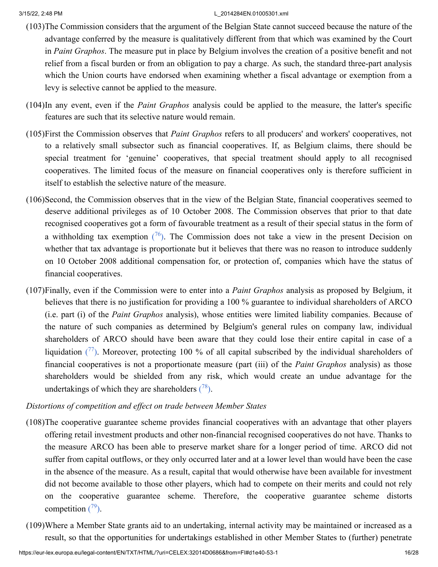- (103)The Commission considers that the argument of the Belgian State cannot succeed because the nature of the advantage conferred by the measure is qualitatively different from that which was examined by the Court in *Paint Graphos*. The measure put in place by Belgium involves the creation of a positive benefit and not relief from a fiscal burden or from an obligation to pay a charge. As such, the standard three-part analysis which the Union courts have endorsed when examining whether a fiscal advantage or exemption from a levy is selective cannot be applied to the measure.
- (104)In any event, even if the *Paint Graphos* analysis could be applied to the measure, the latter's specific features are such that its selective nature would remain.
- (105)First the Commission observes that *Paint Graphos* refers to all producers' and workers' cooperatives, not to a relatively small subsector such as financial cooperatives. If, as Belgium claims, there should be special treatment for 'genuine' cooperatives, that special treatment should apply to all recognised cooperatives. The limited focus of the measure on financial cooperatives only is therefore sufficient in itself to establish the selective nature of the measure.
- <span id="page-15-0"></span>(106)Second, the Commission observes that in the view of the Belgian State, financial cooperatives seemed to deserve additional privileges as of 10 October 2008. The Commission observes that prior to that date recognised cooperatives got a form of favourable treatment as a result of their special status in the form of a withholding tax exemption  $(76)$  $(76)$  $(76)$ . The Commission does not take a view in the present Decision on whether that tax advantage is proportionate but it believes that there was no reason to introduce suddenly on 10 October 2008 additional compensation for, or protection of, companies which have the status of financial cooperatives.
- (107)Finally, even if the Commission were to enter into a *Paint Graphos* analysis as proposed by Belgium, it believes that there is no justification for providing a 100 % guarantee to individual shareholders of ARCO (i.e. part (i) of the *Paint Graphos* analysis), whose entities were limited liability companies. Because of the nature of such companies as determined by Belgium's general rules on company law, individual shareholders of ARCO should have been aware that they could lose their entire capital in case of a liquidation  $(77)$  $(77)$  $(77)$ . Moreover, protecting 100 % of all capital subscribed by the individual shareholders of financial cooperatives is not a proportionate measure (part (iii) of the *Paint Graphos* analysis) as those shareholders would be shielded from any risk, which would create an undue advantage for the undertakings of which they are shareholders  $(^{78})$  $(^{78})$  $(^{78})$ .

# <span id="page-15-2"></span><span id="page-15-1"></span>*Distortions of competition and effect on trade between Member States*

- (108)The cooperative guarantee scheme provides financial cooperatives with an advantage that other players offering retail investment products and other non-financial recognised cooperatives do not have. Thanks to the measure ARCO has been able to preserve market share for a longer period of time. ARCO did not suffer from capital outflows, or they only occurred later and at a lower level than would have been the case in the absence of the measure. As a result, capital that would otherwise have been available for investment did not become available to those other players, which had to compete on their merits and could not rely on the cooperative guarantee scheme. Therefore, the cooperative guarantee scheme distorts competition  $(79)$  $(79)$  $(79)$ .
- <span id="page-15-3"></span>(109)Where a Member State grants aid to an undertaking, internal activity may be maintained or increased as a result, so that the opportunities for undertakings established in other Member States to (further) penetrate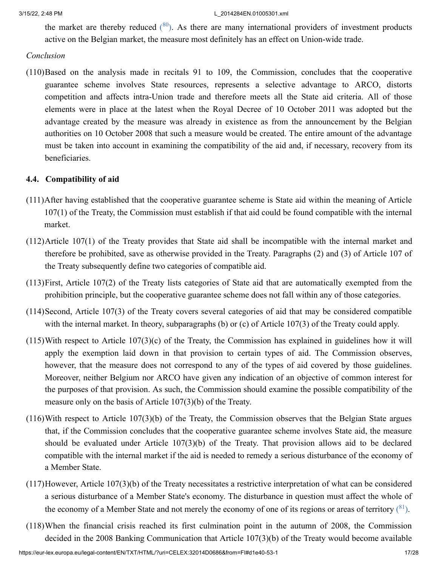<span id="page-16-0"></span>the market are thereby reduced  $(^{80})$  $(^{80})$  $(^{80})$ . As there are many international providers of investment products active on the Belgian market, the measure most definitely has an effect on Union-wide trade.

### *Conclusion*

(110)Based on the analysis made in recitals 91 to 109, the Commission, concludes that the cooperative guarantee scheme involves State resources, represents a selective advantage to ARCO, distorts competition and affects intra-Union trade and therefore meets all the State aid criteria. All of those elements were in place at the latest when the Royal Decree of 10 October 2011 was adopted but the advantage created by the measure was already in existence as from the announcement by the Belgian authorities on 10 October 2008 that such a measure would be created. The entire amount of the advantage must be taken into account in examining the compatibility of the aid and, if necessary, recovery from its beneficiaries.

# **4.4. Compatibility of aid**

- (111)After having established that the cooperative guarantee scheme is State aid within the meaning of Article 107(1) of the Treaty, the Commission must establish if that aid could be found compatible with the internal market.
- (112)Article 107(1) of the Treaty provides that State aid shall be incompatible with the internal market and therefore be prohibited, save as otherwise provided in the Treaty. Paragraphs (2) and (3) of Article 107 of the Treaty subsequently define two categories of compatible aid.
- (113)First, Article 107(2) of the Treaty lists categories of State aid that are automatically exempted from the prohibition principle, but the cooperative guarantee scheme does not fall within any of those categories.
- (114)Second, Article 107(3) of the Treaty covers several categories of aid that may be considered compatible with the internal market. In theory, subparagraphs (b) or (c) of Article 107(3) of the Treaty could apply.
- (115)With respect to Article 107(3)(c) of the Treaty, the Commission has explained in guidelines how it will apply the exemption laid down in that provision to certain types of aid. The Commission observes, however, that the measure does not correspond to any of the types of aid covered by those guidelines. Moreover, neither Belgium nor ARCO have given any indication of an objective of common interest for the purposes of that provision. As such, the Commission should examine the possible compatibility of the measure only on the basis of Article 107(3)(b) of the Treaty.
- (116)With respect to Article 107(3)(b) of the Treaty, the Commission observes that the Belgian State argues that, if the Commission concludes that the cooperative guarantee scheme involves State aid, the measure should be evaluated under Article 107(3)(b) of the Treaty. That provision allows aid to be declared compatible with the internal market if the aid is needed to remedy a serious disturbance of the economy of a Member State.
- (117)However, Article 107(3)(b) of the Treaty necessitates a restrictive interpretation of what can be considered a serious disturbance of a Member State's economy. The disturbance in question must affect the whole of the economy of a Member State and not merely the economy of one of its regions or areas of territory  $(^{81})$  $(^{81})$  $(^{81})$ .
- <span id="page-16-1"></span>(118)When the financial crisis reached its first culmination point in the autumn of 2008, the Commission decided in the 2008 Banking Communication that Article 107(3)(b) of the Treaty would become available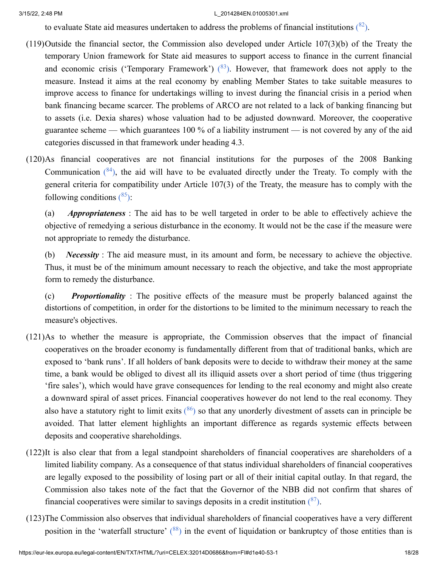<span id="page-17-1"></span><span id="page-17-0"></span>to evaluate State aid measures undertaken to address the problems of financial institutions  $(^{82})$  $(^{82})$  $(^{82})$ .

- (119)Outside the financial sector, the Commission also developed under Article 107(3)(b) of the Treaty the temporary Union framework for State aid measures to support access to finance in the current financial and economic crisis ('Temporary Framework')  $(^{83})$  $(^{83})$  $(^{83})$ . However, that framework does not apply to the measure. Instead it aims at the real economy by enabling Member States to take suitable measures to improve access to finance for undertakings willing to invest during the financial crisis in a period when bank financing became scarcer. The problems of ARCO are not related to a lack of banking financing but to assets (i.e. Dexia shares) whose valuation had to be adjusted downward. Moreover, the cooperative guarantee scheme — which guarantees 100 % of a liability instrument — is not covered by any of the aid categories discussed in that framework under heading 4.3.
- (120)As financial cooperatives are not financial institutions for the purposes of the 2008 Banking Communication  $(^{84})$  $(^{84})$  $(^{84})$ , the aid will have to be evaluated directly under the Treaty. To comply with the general criteria for compatibility under Article 107(3) of the Treaty, the measure has to comply with the following conditions  $(^{85})$  $(^{85})$  $(^{85})$ :

<span id="page-17-3"></span><span id="page-17-2"></span>(a) *Appropriateness* : The aid has to be well targeted in order to be able to effectively achieve the objective of remedying a serious disturbance in the economy. It would not be the case if the measure were not appropriate to remedy the disturbance.

(b) *Necessity* : The aid measure must, in its amount and form, be necessary to achieve the objective. Thus, it must be of the minimum amount necessary to reach the objective, and take the most appropriate form to remedy the disturbance.

(c) *Proportionality* : The positive effects of the measure must be properly balanced against the distortions of competition, in order for the distortions to be limited to the minimum necessary to reach the measure's objectives.

- (121)As to whether the measure is appropriate, the Commission observes that the impact of financial cooperatives on the broader economy is fundamentally different from that of traditional banks, which are exposed to 'bank runs'. If all holders of bank deposits were to decide to withdraw their money at the same time, a bank would be obliged to divest all its illiquid assets over a short period of time (thus triggering 'fire sales'), which would have grave consequences for lending to the real economy and might also create a downward spiral of asset prices. Financial cooperatives however do not lend to the real economy. They also have a statutory right to limit exits  $\binom{86}{}$  $\binom{86}{}$  $\binom{86}{}$  so that any unorderly divestment of assets can in principle be avoided. That latter element highlights an important difference as regards systemic effects between deposits and cooperative shareholdings.
- <span id="page-17-4"></span>(122)It is also clear that from a legal standpoint shareholders of financial cooperatives are shareholders of a limited liability company. As a consequence of that status individual shareholders of financial cooperatives are legally exposed to the possibility of losing part or all of their initial capital outlay. In that regard, the Commission also takes note of the fact that the Governor of the NBB did not confirm that shares of financial cooperatives were similar to savings deposits in a credit institution  $(^{87})$  $(^{87})$  $(^{87})$ .
- <span id="page-17-6"></span><span id="page-17-5"></span>(123)The Commission also observes that individual shareholders of financial cooperatives have a very different position in the 'waterfall structure' ([88](#page-27-1)) in the event of liquidation or bankruptcy of those entities than is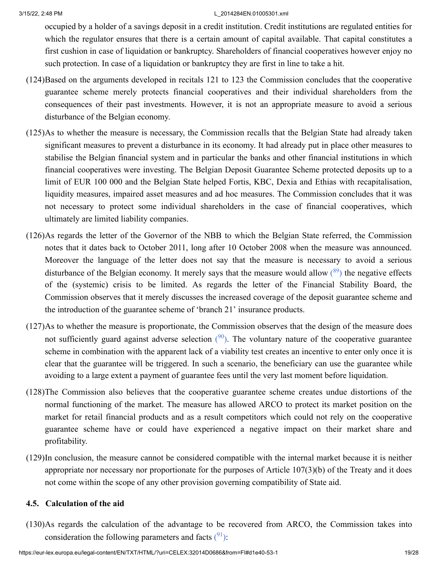occupied by a holder of a savings deposit in a credit institution. Credit institutions are regulated entities for which the regulator ensures that there is a certain amount of capital available. That capital constitutes a first cushion in case of liquidation or bankruptcy. Shareholders of financial cooperatives however enjoy no such protection. In case of a liquidation or bankruptcy they are first in line to take a hit.

- (124)Based on the arguments developed in recitals 121 to 123 the Commission concludes that the cooperative guarantee scheme merely protects financial cooperatives and their individual shareholders from the consequences of their past investments. However, it is not an appropriate measure to avoid a serious disturbance of the Belgian economy.
- (125)As to whether the measure is necessary, the Commission recalls that the Belgian State had already taken significant measures to prevent a disturbance in its economy. It had already put in place other measures to stabilise the Belgian financial system and in particular the banks and other financial institutions in which financial cooperatives were investing. The Belgian Deposit Guarantee Scheme protected deposits up to a limit of EUR 100 000 and the Belgian State helped Fortis, KBC, Dexia and Ethias with recapitalisation, liquidity measures, impaired asset measures and ad hoc measures. The Commission concludes that it was not necessary to protect some individual shareholders in the case of financial cooperatives, which ultimately are limited liability companies.
- <span id="page-18-0"></span>(126)As regards the letter of the Governor of the NBB to which the Belgian State referred, the Commission notes that it dates back to October 2011, long after 10 October 2008 when the measure was announced. Moreover the language of the letter does not say that the measure is necessary to avoid a serious disturbance of the Belgian economy. It merely says that the measure would allow  $(^{89})$  $(^{89})$  $(^{89})$  the negative effects of the (systemic) crisis to be limited. As regards the letter of the Financial Stability Board, the Commission observes that it merely discusses the increased coverage of the deposit guarantee scheme and the introduction of the guarantee scheme of 'branch 21' insurance products.
- <span id="page-18-1"></span>(127)As to whether the measure is proportionate, the Commission observes that the design of the measure does not sufficiently guard against adverse selection  $(90)$  $(90)$  $(90)$ . The voluntary nature of the cooperative guarantee scheme in combination with the apparent lack of a viability test creates an incentive to enter only once it is clear that the guarantee will be triggered. In such a scenario, the beneficiary can use the guarantee while avoiding to a large extent a payment of guarantee fees until the very last moment before liquidation.
- (128)The Commission also believes that the cooperative guarantee scheme creates undue distortions of the normal functioning of the market. The measure has allowed ARCO to protect its market position on the market for retail financial products and as a result competitors which could not rely on the cooperative guarantee scheme have or could have experienced a negative impact on their market share and profitability.
- (129)In conclusion, the measure cannot be considered compatible with the internal market because it is neither appropriate nor necessary nor proportionate for the purposes of Article 107(3)(b) of the Treaty and it does not come within the scope of any other provision governing compatibility of State aid.

# **4.5. Calculation of the aid**

<span id="page-18-2"></span>(130)As regards the calculation of the advantage to be recovered from ARCO, the Commission takes into consideration the following parameters and facts  $(^{91})$  $(^{91})$  $(^{91})$ :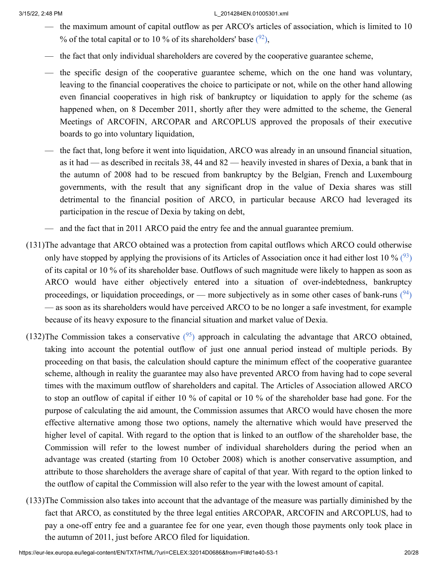- <span id="page-19-0"></span>— the maximum amount of capital outflow as per ARCO's articles of association, which is limited to 10 % of the total capital or to 10 % of its shareholders' base  $(92)$  $(92)$  $(92)$ ,
- the fact that only individual shareholders are covered by the cooperative guarantee scheme,
- the specific design of the cooperative guarantee scheme, which on the one hand was voluntary, leaving to the financial cooperatives the choice to participate or not, while on the other hand allowing even financial cooperatives in high risk of bankruptcy or liquidation to apply for the scheme (as happened when, on 8 December 2011, shortly after they were admitted to the scheme, the General Meetings of ARCOFIN, ARCOPAR and ARCOPLUS approved the proposals of their executive boards to go into voluntary liquidation,
- the fact that, long before it went into liquidation, ARCO was already in an unsound financial situation, as it had — as described in recitals 38, 44 and 82 — heavily invested in shares of Dexia, a bank that in the autumn of 2008 had to be rescued from bankruptcy by the Belgian, French and Luxembourg governments, with the result that any significant drop in the value of Dexia shares was still detrimental to the financial position of ARCO, in particular because ARCO had leveraged its participation in the rescue of Dexia by taking on debt,
- <span id="page-19-2"></span><span id="page-19-1"></span>— and the fact that in 2011 ARCO paid the entry fee and the annual guarantee premium.
- (131)The advantage that ARCO obtained was a protection from capital outflows which ARCO could otherwise only have stopped by applying the provisions of its Articles of Association once it had either lost 10 %  $(93)$  $(93)$  $(93)$ of its capital or 10 % of its shareholder base. Outflows of such magnitude were likely to happen as soon as ARCO would have either objectively entered into a situation of over-indebtedness, bankruptcy proceedings, or liquidation proceedings, or — more subjectively as in some other cases of bank-runs  $(94)$  $(94)$  $(94)$ — as soon as its shareholders would have perceived ARCO to be no longer a safe investment, for example because of its heavy exposure to the financial situation and market value of Dexia.
- <span id="page-19-3"></span>(132)The Commission takes a conservative  $(95)$  $(95)$  $(95)$  approach in calculating the advantage that ARCO obtained, taking into account the potential outflow of just one annual period instead of multiple periods. By proceeding on that basis, the calculation should capture the minimum effect of the cooperative guarantee scheme, although in reality the guarantee may also have prevented ARCO from having had to cope several times with the maximum outflow of shareholders and capital. The Articles of Association allowed ARCO to stop an outflow of capital if either 10 % of capital or 10 % of the shareholder base had gone. For the purpose of calculating the aid amount, the Commission assumes that ARCO would have chosen the more effective alternative among those two options, namely the alternative which would have preserved the higher level of capital. With regard to the option that is linked to an outflow of the shareholder base, the Commission will refer to the lowest number of individual shareholders during the period when an advantage was created (starting from 10 October 2008) which is another conservative assumption, and attribute to those shareholders the average share of capital of that year. With regard to the option linked to the outflow of capital the Commission will also refer to the year with the lowest amount of capital.
- (133)The Commission also takes into account that the advantage of the measure was partially diminished by the fact that ARCO, as constituted by the three legal entities ARCOPAR, ARCOFIN and ARCOPLUS, had to pay a one-off entry fee and a guarantee fee for one year, even though those payments only took place in the autumn of 2011, just before ARCO filed for liquidation.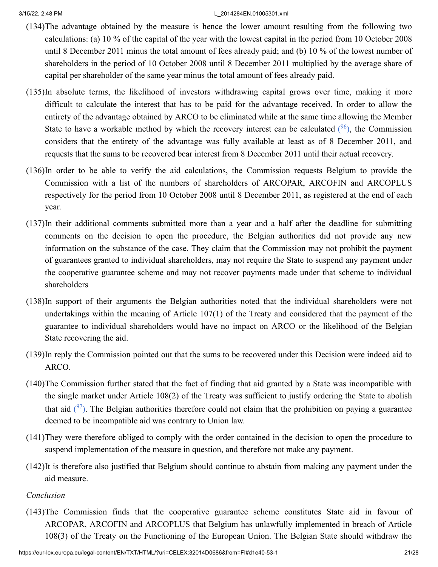- (134)The advantage obtained by the measure is hence the lower amount resulting from the following two calculations: (a) 10 % of the capital of the year with the lowest capital in the period from 10 October 2008 until 8 December 2011 minus the total amount of fees already paid; and (b) 10 % of the lowest number of shareholders in the period of 10 October 2008 until 8 December 2011 multiplied by the average share of capital per shareholder of the same year minus the total amount of fees already paid.
- <span id="page-20-0"></span>(135)In absolute terms, the likelihood of investors withdrawing capital grows over time, making it more difficult to calculate the interest that has to be paid for the advantage received. In order to allow the entirety of the advantage obtained by ARCO to be eliminated while at the same time allowing the Member State to have a workable method by which the recovery interest can be calculated  $(96)$  $(96)$  $(96)$ , the Commission considers that the entirety of the advantage was fully available at least as of 8 December 2011, and requests that the sums to be recovered bear interest from 8 December 2011 until their actual recovery.
- (136)In order to be able to verify the aid calculations, the Commission requests Belgium to provide the Commission with a list of the numbers of shareholders of ARCOPAR, ARCOFIN and ARCOPLUS respectively for the period from 10 October 2008 until 8 December 2011, as registered at the end of each year.
- (137)In their additional comments submitted more than a year and a half after the deadline for submitting comments on the decision to open the procedure, the Belgian authorities did not provide any new information on the substance of the case. They claim that the Commission may not prohibit the payment of guarantees granted to individual shareholders, may not require the State to suspend any payment under the cooperative guarantee scheme and may not recover payments made under that scheme to individual shareholders
- (138)In support of their arguments the Belgian authorities noted that the individual shareholders were not undertakings within the meaning of Article 107(1) of the Treaty and considered that the payment of the guarantee to individual shareholders would have no impact on ARCO or the likelihood of the Belgian State recovering the aid.
- (139)In reply the Commission pointed out that the sums to be recovered under this Decision were indeed aid to ARCO.
- <span id="page-20-1"></span>(140)The Commission further stated that the fact of finding that aid granted by a State was incompatible with the single market under Article 108(2) of the Treaty was sufficient to justify ordering the State to abolish that aid  $(^{97})$  $(^{97})$  $(^{97})$ . The Belgian authorities therefore could not claim that the prohibition on paying a guarantee deemed to be incompatible aid was contrary to Union law.
- (141)They were therefore obliged to comply with the order contained in the decision to open the procedure to suspend implementation of the measure in question, and therefore not make any payment.
- (142)It is therefore also justified that Belgium should continue to abstain from making any payment under the aid measure.

# *Conclusion*

(143)The Commission finds that the cooperative guarantee scheme constitutes State aid in favour of ARCOPAR, ARCOFIN and ARCOPLUS that Belgium has unlawfully implemented in breach of Article 108(3) of the Treaty on the Functioning of the European Union. The Belgian State should withdraw the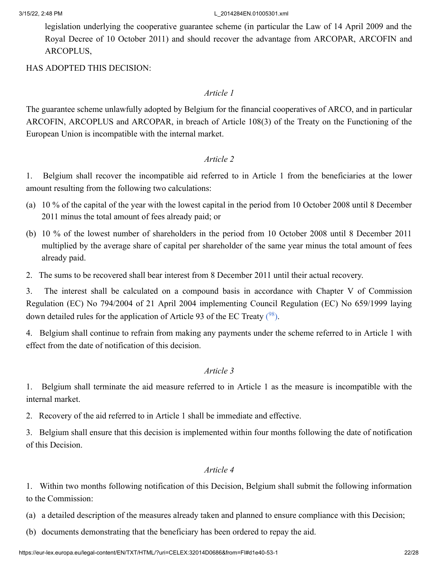legislation underlying the cooperative guarantee scheme (in particular the Law of 14 April 2009 and the Royal Decree of 10 October 2011) and should recover the advantage from ARCOPAR, ARCOFIN and ARCOPLUS,

HAS ADOPTED THIS DECISION:

### *Article 1*

The guarantee scheme unlawfully adopted by Belgium for the financial cooperatives of ARCO, and in particular ARCOFIN, ARCOPLUS and ARCOPAR, in breach of Article 108(3) of the Treaty on the Functioning of the European Union is incompatible with the internal market.

# *Article 2*

1. Belgium shall recover the incompatible aid referred to in Article 1 from the beneficiaries at the lower amount resulting from the following two calculations:

- (a) 10 % of the capital of the year with the lowest capital in the period from 10 October 2008 until 8 December 2011 minus the total amount of fees already paid; or
- (b) 10 % of the lowest number of shareholders in the period from 10 October 2008 until 8 December 2011 multiplied by the average share of capital per shareholder of the same year minus the total amount of fees already paid.
- 2. The sums to be recovered shall bear interest from 8 December 2011 until their actual recovery.

3. The interest shall be calculated on a compound basis in accordance with Chapter V of Commission Regulation (EC) No 794/2004 of 21 April 2004 implementing Council Regulation (EC) No 659/1999 laying down detailed rules for the application of Article 93 of the EC Treaty  $(^{98})$  $(^{98})$  $(^{98})$ .

4. Belgium shall continue to refrain from making any payments under the scheme referred to in Article 1 with effect from the date of notification of this decision.

# <span id="page-21-0"></span>*Article 3*

1. Belgium shall terminate the aid measure referred to in Article 1 as the measure is incompatible with the internal market.

2. Recovery of the aid referred to in Article 1 shall be immediate and effective.

3. Belgium shall ensure that this decision is implemented within four months following the date of notification of this Decision.

### *Article 4*

1. Within two months following notification of this Decision, Belgium shall submit the following information to the Commission:

(a) a detailed description of the measures already taken and planned to ensure compliance with this Decision;

(b) documents demonstrating that the beneficiary has been ordered to repay the aid.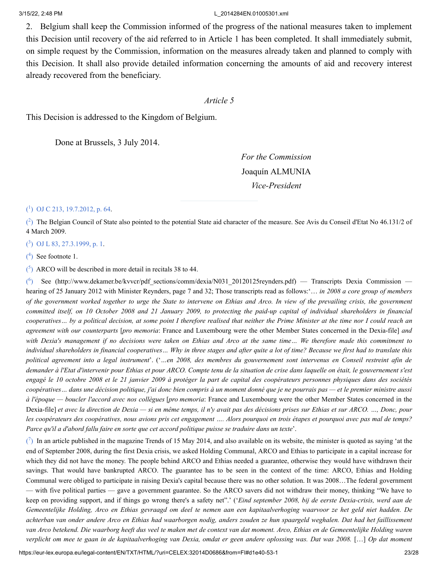2. Belgium shall keep the Commission informed of the progress of the national measures taken to implement this Decision until recovery of the aid referred to in Article 1 has been completed. It shall immediately submit, on simple request by the Commission, information on the measures already taken and planned to comply with this Decision. It shall also provide detailed information concerning the amounts of aid and recovery interest already recovered from the beneficiary.

### *Article 5*

This Decision is addressed to the Kingdom of Belgium.

Done at Brussels, 3 July 2014.

*For the Commission* Joaquín ALMUNIA *Vice-President*

### <span id="page-22-0"></span>[\(](#page-0-0) 1 ) OJ C 213, [19.7.2012,](https://eur-lex.europa.eu/legal-content/EN/AUTO/?uri=OJ:C:2012:213:TOC) p. 64.

<span id="page-22-1"></span> $\binom{2}{1}$  The Belgian Council of State also pointed to the potential State aid character of the measure. See Avis du Conseil d'Etat No 46.131/2 of 4 March 2009.

<span id="page-22-2"></span>[\(](#page-1-0) 3 ) OJ L 83, [27.3.1999,](https://eur-lex.europa.eu/legal-content/EN/AUTO/?uri=OJ:L:1999:083:TOC) p. 1.

<span id="page-22-3"></span> $(4)$  $(4)$  See footnote 1.

<span id="page-22-4"></span> $(5)$  $(5)$  ARCO will be described in more detail in recitals 38 to 44.

<span id="page-22-5"></span> $\binom{6}{ }$ See (http://www.dekamer.be/kvvcr/pdf sections/comm/dexia/N031\_20120125reynders.pdf) — Transcripts Dexia Commission hearing of 25 January 2012 with Minister Reynders, page 7 and 32; Those transcripts read as follows:'… *in 2008 a core group of members* of the government worked together to urge the State to intervene on Ethias and Arco. In view of the prevailing crisis, the government committed itself, on 10 October 2008 and 21 January 2009, to protecting the paid-up capital of individual shareholders in financial cooperatives... by a political decision, at some point I therefore realised that neither the Prime Minister at the time nor I could reach an *agreement with our counterparts* [*pro memoria*: France and Luxembourg were the other Member States concerned in the Dexia-file] *and* with Dexia's management if no decisions were taken on Ethias and Arco at the same time... We therefore made this commitment to individual shareholders in financial cooperatives... Why in three stages and after quite a lot of time? Because we first had to translate this political agreement into a legal instrument'. ('...en 2008, des membres du gouvernement sont intervenus en Conseil restreint afin de demander à l'Etat d'intervenir pour Ethias et pour ARCO. Compte tenu de la situation de crise dans laquelle on était, le gouvernement s'est engagé le 10 octobre 2008 et le 21 janvier 2009 à protéger la part de capital des coopérateurs personnes physiques dans des sociétés coopératives... dans une décision politique, j'ai donc bien compris à un moment donné que je ne pourrais pas — et le premier ministre aussi *à l'époque — boucler l'accord avec nos collègues* [*pro memoria*: France and Luxembourg were the other Member States concerned in the Dexia-file] et avec la direction de Dexia — si en même temps, il n'y avait pas des décisions prises sur Ethias et sur ARCO. ..., Donc, pour les coopérateurs des coopératives, nous avions pris cet engagement .... Alors pourquoi en trois étapes et pourquoi avec pas mal de temps? Parce qu'il a d'abord fallu faire en sorte que cet accord politique puisse se traduire dans un texte'.

<span id="page-22-6"></span> $\binom{7}{1}$  In an article published in the magazine Trends of 15 May 2014, and also available on its website, the minister is quoted as saying 'at the end of September 2008, during the first Dexia crisis, we asked Holding Communal, ARCO and Ethias to participate in a capital increase for which they did not have the money. The people behind ARCO and Ethias needed a guarantee, otherwise they would have withdrawn their savings. That would have bankrupted ARCO. The guarantee has to be seen in the context of the time: ARCO, Ethias and Holding Communal were obliged to participate in raising Dexia's capital because there was no other solution. It was 2008…The federal government — with five political parties — gave a government guarantee. So the ARCO savers did not withdraw their money, thinking "We have to keep on providing support, and if things go wrong there's a safety net".' ('*Eind september 2008, bij de eerste Dexia-crisis, werd aan de* Gemeentelijke Holding, Arco en Ethias gevraagd om deel te nemen aan een kapitaalverhoging waarvoor ze het geld niet hadden. De achterban van onder andere Arco en Ethias had waarborgen nodig, anders zouden ze hun spaargeld weghalen. Dat had het faillissement van Arco betekend. Die waarborg heeft dus veel te maken met de context van dat moment. Arco, Ethias en de Gemeentelijke Holding waren verplicht om mee te gaan in de kapitaalverhoging van Dexia, omdat er geen andere oplossing was. Dat was 2008. [...] Op dat moment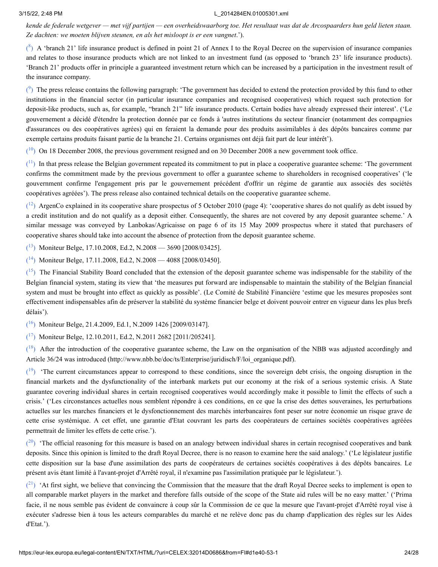kende de federale wetgever — met vijf partijen — een overheidswaarborg toe. Het resultaat was dat de Arcospaarders hun geld lieten staan. *Ze dachten: we moeten blijven steunen, en als het misloopt is er een vangnet*.').

<span id="page-23-0"></span> $\binom{8}{3}$  A 'branch 21' life insurance product is defined in point 21 of Annex I to the Royal Decree on the supervision of insurance companies and relates to those insurance products which are not linked to an investment fund (as opposed to 'branch 23' life insurance products). 'Branch 21' products offer in principle a guaranteed investment return which can be increased by a participation in the investment result of the insurance company.

<span id="page-23-1"></span> $\binom{9}{1}$  The press release contains the following paragraph: 'The government has decided to extend the protection provided by this fund to other institutions in the financial sector (in particular insurance companies and recognised cooperatives) which request such protection for deposit-like products, such as, for example, "branch 21" life insurance products. Certain bodies have already expressed their interest'. ('Le gouvernement a décidé d'étendre la protection donnée par ce fonds à 'autres institutions du secteur financier (notamment des compagnies d'assurances ou des coopératives agrées) qui en feraient la demande pour des produits assimilables à des dépôts bancaires comme par exemple certains produits faisant partie de la branche 21. Certains organismes ont déjà fait part de leur intérêt').

<span id="page-23-2"></span> $(10)$  $(10)$  $(10)$  On 18 December 2008, the previous government resigned and on 30 December 2008 a new government took office.

<span id="page-23-3"></span> $(1)$  In that press release the Belgian government repeated its commitment to put in place a cooperative guarantee scheme: 'The government confirms the commitment made by the previous government to offer a guarantee scheme to shareholders in recognised cooperatives' ('le gouvernment confirme l'engagement pris par le gouvernement précédent d'offrir un régime de garantie aux associés des sociétés coopératives agréées'). The press release also contained technical details on the cooperative guarantee scheme.

<span id="page-23-4"></span> $(12)$  $(12)$  $(12)$  ArgenCo explained in its cooperative share prospectus of 5 October 2010 (page 4): 'cooperative shares do not qualify as debt issued by a credit institution and do not qualify as a deposit either. Consequently, the shares are not covered by any deposit guarantee scheme.' A similar message was conveyed by Lanbokas/Agricaisse on page 6 of its 15 May 2009 prospectus where it stated that purchasers of cooperative shares should take into account the absence of protection from the deposit guarantee scheme.

<span id="page-23-5"></span> $(13)$  $(13)$  $(13)$  Moniteur Belge, 17.10.2008, Ed.2, N.2008 — 3690 [2008/03425].

<span id="page-23-6"></span> $(14)$  $(14)$  $(14)$  Moniteur Belge, 17.11.2008, Ed.2, N.2008 — 4088 [2008/03450].

<span id="page-23-7"></span> $(15)$  $(15)$  $(15)$  The Financial Stability Board concluded that the extension of the deposit guarantee scheme was indispensable for the stability of the Belgian financial system, stating its view that 'the measures put forward are indispensable to maintain the stability of the Belgian financial system and must be brought into effect as quickly as possible'. (Le Comité de Stabilité Financière 'estime que les mesures proposées sont effectivement indispensables afin de préserver la stabilité du système financier belge et doivent pouvoir entrer en vigueur dans les plus brefs délais').

<span id="page-23-8"></span>(<sup>[16](#page-2-6)</sup>) Moniteur Belge, 21.4.2009, Ed.1, N.2009 1426 [2009/03147].

<span id="page-23-9"></span> $(17)$  $(17)$  $(17)$  Moniteur Belge, 12.10.2011, Ed.2, N.2011 2682 [2011/205241].

<span id="page-23-10"></span> $(18)$  $(18)$  $(18)$  After the introduction of the cooperative guarantee scheme, the Law on the organisation of the NBB was adjusted accordingly and Article 36/24 was introduced (http://www.nbb.be/doc/ts/Enterprise/juridisch/F/loi\_organique.pdf).

<span id="page-23-11"></span><sup>([19](#page-2-9)</sup>) The current circumstances appear to correspond to these conditions, since the sovereign debt crisis, the ongoing disruption in the financial markets and the dysfunctionality of the interbank markets put our economy at the risk of a serious systemic crisis. A State guarantee covering individual shares in certain recognised cooperatives would accordingly make it possible to limit the effects of such a crisis.' ('Les circonstances actuelles nous semblent répondre à ces conditions, en ce que la crise des dettes souveraines, les perturbations actuelles sur les marches financiers et le dysfonctionnement des marchés interbancaires font peser sur notre économie un risque grave de cette crise systémique. A cet effet, une garantie d'Etat couvrant les parts des coopérateurs de certaines sociétés coopératives agréées permettrait de limiter les effets de cette crise.').

<span id="page-23-12"></span> $(20)$  $(20)$  $(20)$  'The official reasoning for this measure is based on an analogy between individual shares in certain recognised cooperatives and bank deposits. Since this opinion is limited to the draft Royal Decree, there is no reason to examine here the said analogy.' ('Le législateur justifie cette disposition sur la base d'une assimilation des parts de coopérateurs de certaines sociétés coopératives à des dépôts bancaires. Le présent avis étant limité à l'avant-projet d'Arrêté royal, il n'examine pas l'assimilation pratiquée par le législateur.').

<span id="page-23-13"></span> $\binom{21}{1}$  $\binom{21}{1}$  $\binom{21}{1}$  'At first sight, we believe that convincing the Commission that the measure that the draft Royal Decree seeks to implement is open to all comparable market players in the market and therefore falls outside of the scope of the State aid rules will be no easy matter.' ('Prima facie, il ne nous semble pas évident de convaincre à coup sûr la Commission de ce que la mesure que l'avant-projet d'Arrêté royal vise à exécuter s'adresse bien à tous les acteurs comparables du marché et ne relève donc pas du champ d'application des règles sur les Aides d'Etat.').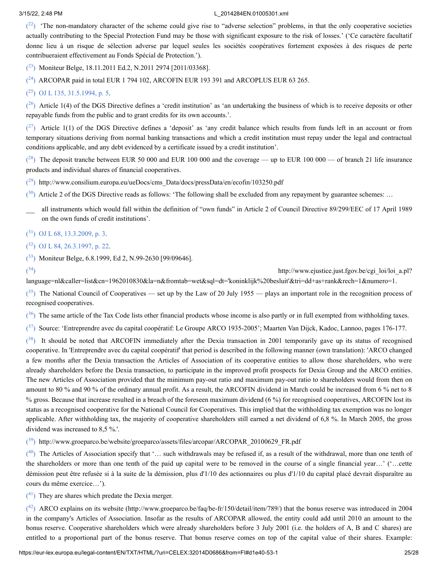<span id="page-24-0"></span> $(2^2)$  'The non-mandatory character of the scheme could give rise to "adverse selection" problems, in that the only cooperative societies actually contributing to the Special Protection Fund may be those with significant exposure to the risk of losses.' ('Ce caractère facultatif donne lieu à un risque de sélection adverse par lequel seules les sociétés coopératives fortement exposées à des risques de perte contribueraient effectivement au Fonds Spécial de Protection.').

<span id="page-24-1"></span> $(2^3)$  Moniteur Belge, 18.11.2011 Ed.2, N.2011 2974 [2011/03368].

<span id="page-24-2"></span> $(24)$  $(24)$  $(24)$  ARCOPAR paid in total EUR 1 794 102, ARCOFIN EUR 193 391 and ARCOPLUS EUR 63 265.

### <span id="page-24-3"></span> $(2^5)$  OJ L 135, [31.5.1994,](https://eur-lex.europa.eu/legal-content/EN/AUTO/?uri=OJ:L:1994:135:TOC) p. 5.

<span id="page-24-4"></span> $(26)$  $(26)$  $(26)$  Article 1(4) of the DGS Directive defines a 'credit institution' as 'an undertaking the business of which is to receive deposits or other repayable funds from the public and to grant credits for its own accounts.'.

<span id="page-24-5"></span> $(27)$  $(27)$  $(27)$  Article 1(1) of the DGS Directive defines a 'deposit' as 'any credit balance which results from funds left in an account or from temporary situations deriving from normal banking transactions and which a credit institution must repay under the legal and contractual conditions applicable, and any debt evidenced by a certificate issued by a credit institution'.

<span id="page-24-6"></span> $(28)$  $(28)$  $(28)$  The deposit tranche between EUR 50 000 and EUR 100 000 and the coverage — up to EUR 100 000 — of branch 21 life insurance products and individual shares of financial cooperatives.

<span id="page-24-7"></span>(<sup>[29](#page-3-3)</sup>) http://www.consilium.europa.eu/ueDocs/cms\_Data/docs/pressData/en/ecofin/103250.pdf

<span id="page-24-8"></span> $(30)$  $(30)$  $(30)$  Article 2 of the DGS Directive reads as follows: 'The following shall be excluded from any repayment by guarantee schemes: ...

— all instruments which would fall within the definition of "own funds" in Article <sup>2</sup> of Council Directive 89/299/EEC of <sup>17</sup> April <sup>1989</sup> on the own funds of credit institutions'.

<span id="page-24-9"></span> $(31)$  $(31)$  $(31)$  OJ L 68, [13.3.2009,](https://eur-lex.europa.eu/legal-content/EN/AUTO/?uri=OJ:L:2009:068:TOC) p. 3.

<span id="page-24-10"></span> $(32)$  $(32)$  $(32)$  OJ L 84, [26.3.1997,](https://eur-lex.europa.eu/legal-content/EN/AUTO/?uri=OJ:L:1997:084:TOC) p. 22.

<span id="page-24-11"></span> $(33)$  $(33)$  $(33)$  Moniteur Belge, 6.8.1999, Ed 2, N.99-2630 [99/09646].

<span id="page-24-12"></span> $\binom{34}{ }$  $\binom{34}{ }$  $\binom{34}{ }$ 

) http://www.ejustice.just.fgov.be/cgi\_loi/loi\_a.pl?

language=nl&caller=list&cn=1962010830&la=n&fromtab=wet&sql=dt='koninklijk%20besluit'&tri=dd+as+rank&rech=1&numero=1.

<span id="page-24-13"></span> $(35)$  $(35)$  $(35)$  The National Council of Cooperatives — set up by the Law of 20 July 1955 — plays an important role in the recognition process of recognised cooperatives.

<span id="page-24-14"></span> $(36)$  $(36)$  $(36)$  The same article of the Tax Code lists other financial products whose income is also partly or in full exempted from withholding taxes.

<span id="page-24-15"></span><sup>([37](#page-5-0)</sup>) Source: 'Entreprendre avec du capital coopératif: Le Groupe ARCO 1935-2005'; Maarten Van Dijck, Kadoc, Lannoo, pages 176-177.

<span id="page-24-16"></span> $(38)$  $(38)$  $(38)$  It should be noted that ARCOFIN immediately after the Dexia transaction in 2001 temporarily gave up its status of recognised cooperative. In 'Entreprendre avec du capital coopératif' that period is described in the following manner (own translation): 'ARCO changed a few months after the Dexia transaction the Articles of Association of its cooperative entities to allow those shareholders, who were already shareholders before the Dexia transaction, to participate in the improved profit prospects for Dexia Group and the ARCO entities. The new Articles of Association provided that the minimum pay-out ratio and maximum pay-out ratio to shareholders would from then on amount to 80 % and 90 % of the ordinary annual profit. As a result, the ARCOFIN dividend in March could be increased from 6 % net to 8 % gross. Because that increase resulted in a breach of the foreseen maximum dividend (6 %) for recognised cooperatives, ARCOFIN lost its status as a recognised cooperative for the National Council for Cooperatives. This implied that the withholding tax exemption was no longer applicable. After withholding tax, the majority of cooperative shareholders still earned a net dividend of 6,8 %. In March 2005, the gross dividend was increased to 8,5 %.'.

<span id="page-24-17"></span>(<sup>[39](#page-5-2)</sup>) http://www.groeparco.be/website/groeparco/assets/files/arcopar/ARCOPAR\_20100629\_FR.pdf

<span id="page-24-18"></span> $(40)$  $(40)$  $(40)$  The Articles of Association specify that '... such withdrawals may be refused if, as a result of the withdrawal, more than one tenth of the shareholders or more than one tenth of the paid up capital were to be removed in the course of a single financial year…' ('…cette démission peut être refusée si à la suite de la démission, plus d'1/10 des actionnaires ou plus d'1/10 du capital placé devrait disparaître au cours du même exercice…').

<span id="page-24-19"></span> $(4)$  They are shares which predate the Dexia merger.

<span id="page-24-20"></span> $(42)$  $(42)$  $(42)$  ARCO explains on its website (http://www.groeparco.be/faq/be-fr/150/detail/item/789/) that the bonus reserve was introduced in 2004 in the company's Articles of Association. Insofar as the results of ARCOPAR allowed, the entity could add until 2010 an amount to the bonus reserve. Cooperative shareholders which were already shareholders before 3 July 2001 (i.e. the holders of A, B and C shares) are entitled to a proportional part of the bonus reserve. That bonus reserve comes on top of the capital value of their shares. Example: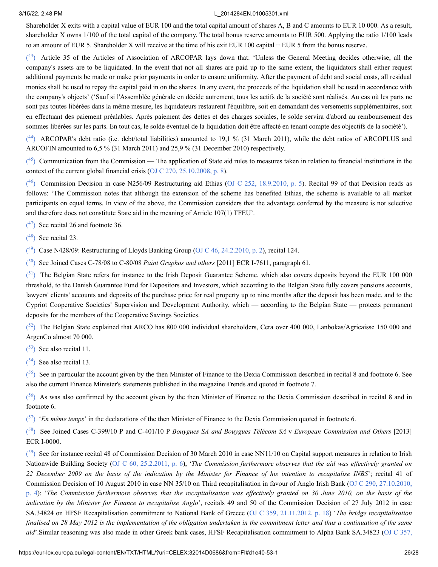Shareholder X exits with a capital value of EUR 100 and the total capital amount of shares A, B and C amounts to EUR 10 000. As a result, shareholder X owns 1/100 of the total capital of the company. The total bonus reserve amounts to EUR 500. Applying the ratio 1/100 leads to an amount of EUR 5. Shareholder X will receive at the time of his exit EUR 100 capital + EUR 5 from the bonus reserve.

<span id="page-25-0"></span><sup>([43](#page-6-3)</sup>) Article 35 of the Articles of Association of ARCOPAR lays down that: 'Unless the General Meeting decides otherwise, all the company's assets are to be liquidated. In the event that not all shares are paid up to the same extent, the liquidators shall either request additional payments be made or make prior payments in order to ensure uniformity. After the payment of debt and social costs, all residual monies shall be used to repay the capital paid in on the shares. In any event, the proceeds of the liquidation shall be used in accordance with the company's objects' ('Sauf si l'Assemblée générale en décide autrement, tous les actifs de la société sont réalisés. Au cas où les parts ne sont pas toutes libérées dans la même mesure, les liquidateurs restaurent l'équilibre, soit en demandant des versements supplémentaires, soit en effectuant des paiement préalables. Après paiement des dettes et des charges sociales, le solde servira d'abord au remboursement des sommes libérées sur les parts. En tout cas, le solde éventuel de la liquidation doit être affecté en tenant compte des objectifs de la société').

<span id="page-25-1"></span><sup>([44](#page-6-4)</sup>) ARCOPAR's debt ratio (i.e. debt/total liabilities) amounted to 19,1 % (31 March 2011), while the debt ratios of ARCOPLUS and ARCOFIN amounted to 6,5 % (31 March 2011) and 25,9 % (31 December 2010) respectively.

<span id="page-25-2"></span> $(45)$  $(45)$  $(45)$  Communication from the Commission — The application of State aid rules to measures taken in relation to financial institutions in the context of the current global financial crisis (OJ C 270, [25.10.2008,](https://eur-lex.europa.eu/legal-content/EN/AUTO/?uri=OJ:C:2008:270:TOC) p. 8).

<span id="page-25-3"></span>( $^{46}$  $^{46}$  $^{46}$ ) Commission Decision in case N256/09 Restructuring aid Ethias (OJ C 252, [18.9.2010,](https://eur-lex.europa.eu/legal-content/EN/AUTO/?uri=OJ:C:2010:252:TOC) p. 5). Recital 99 of that Decision reads as follows: 'The Commission notes that although the extension of the scheme has benefited Ethias, the scheme is available to all market participants on equal terms. In view of the above, the Commission considers that the advantage conferred by the measure is not selective and therefore does not constitute State aid in the meaning of Article 107(1) TFEU'.

<span id="page-25-4"></span> $(47)$  $(47)$  $(47)$  See recital 26 and footnote 36.

<span id="page-25-5"></span> $(48)$  $(48)$  $(48)$  See recital 23.

<span id="page-25-6"></span> $(49)$  $(49)$  $(49)$  Case N428/09: Restructuring of Lloyds Banking Group (OJ C 46, [24.2.2010,](https://eur-lex.europa.eu/legal-content/EN/AUTO/?uri=OJ:C:2010:046:TOC) p. 2), recital 124.

<span id="page-25-7"></span>( [50](#page-9-2) ) See Joined Cases C-78/08 to C-80/08 *Paint Graphos and others* [2011] ECR I-7611, paragraph 61.

<span id="page-25-8"></span> $\binom{51}{1}$  $\binom{51}{1}$  $\binom{51}{1}$  The Belgian State refers for instance to the Irish Deposit Guarantee Scheme, which also covers deposits beyond the EUR 100 000 threshold, to the Danish Guarantee Fund for Depositors and Investors, which according to the Belgian State fully covers pensions accounts, lawyers' clients' accounts and deposits of the purchase price for real property up to nine months after the deposit has been made, and to the Cypriot Cooperative Societies' Supervision and Development Authority, which — according to the Belgian State — protects permanent deposits for the members of the Cooperative Savings Societies.

<span id="page-25-9"></span> $(52)$  $(52)$  $(52)$  The Belgian State explained that ARCO has 800 000 individual shareholders, Cera over 400 000, Lanbokas/Agricaisse 150 000 and ArgenCo almost 70 000.

<span id="page-25-10"></span> $(53)$  $(53)$  $(53)$  See also recital 11.

<span id="page-25-11"></span> $(54)$  $(54)$  $(54)$  See also recital 13.

<span id="page-25-12"></span> $(55)$  $(55)$  $(55)$  See in particular the account given by the then Minister of Finance to the Dexia Commission described in recital 8 and footnote 6. See also the current Finance Minister's statements published in the magazine Trends and quoted in footnote 7.

<span id="page-25-13"></span> $(56)$  $(56)$  $(56)$  As was also confirmed by the account given by the then Minister of Finance to the Dexia Commission described in recital 8 and in footnote 6.

<span id="page-25-14"></span><sup>([57](#page-12-1)</sup>) '*En même temps*' in the declarations of the then Minister of Finance to the Dexia Commission quoted in footnote 6.

<span id="page-25-15"></span>( [58](#page-12-2) ) See Joined Cases C-399/10 P and C-401/10 P *Bouygues SA and Bouygues Télécom SA* v *European Commission and Others* [2013] ECR I-0000.

<span id="page-25-16"></span> $(59)$  $(59)$  $(59)$  See for instance recital 48 of Commission Decision of 30 March 2010 in case NN11/10 on Capital support measures in relation to Irish Nationwide Building Society (OJ C 60, [25.2.2011,](https://eur-lex.europa.eu/legal-content/EN/AUTO/?uri=OJ:C:2011:060:TOC) p. 6), '*The Commission furthermore observes that the aid was ef ectively granted on* 22 December 2009 on the basis of the indication by the Minister for Finance of his intention to recapitalise INBS'; recital 41 of Commission Decision of 10 August 2010 in case NN 35/10 on Third recapitalisation in favour of Anglo Irish Bank (OJ C 290, 27.10.2010, p. 4): 'The Commission furthermore observes that the [recapitalisation](https://eur-lex.europa.eu/legal-content/EN/AUTO/?uri=OJ:C:2010:290:TOC) was effectively granted on 30 June 2010, on the basis of the *indication by the Minister for Finance to recapitalise Anglo*', recitals 49 and 50 of the Commission Decision of 27 July 2012 in case SA.34824 on HFSF Recapitalisation commitment to National Bank of Greece (OJ C 359, [21.11.2012,](https://eur-lex.europa.eu/legal-content/EN/AUTO/?uri=OJ:C:2012:359:TOC) p. 18) '*The bridge recapitalisation* finalised on 28 May 2012 is the implementation of the obligation undertaken in the commitment letter and thus a continuation of the same *aid*'.Similar reasoning was also made in other Greek bank cases, HFSF [Recapitalisation](https://eur-lex.europa.eu/legal-content/EN/AUTO/?uri=OJ:C:2012:357:TOC) commitment to Alpha Bank SA.34823 (OJ C 357,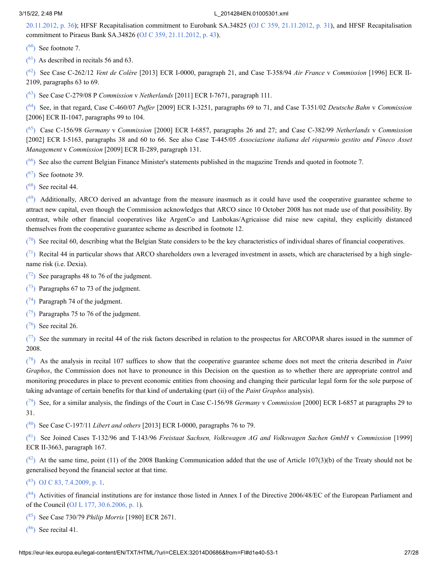20.11.2012, p. 36); HFSF [Recapitalisation](https://eur-lex.europa.eu/legal-content/EN/AUTO/?uri=OJ:C:2012:357:TOC) commitment to Eurobank SA.34825 (OJ C 359, [21.11.2012,](https://eur-lex.europa.eu/legal-content/EN/AUTO/?uri=OJ:C:2012:359:TOC) p. 31), and HFSF Recapitalisation commitment to Piraeus Bank SA.34826 (OJ C 359, [21.11.2012,](https://eur-lex.europa.eu/legal-content/EN/AUTO/?uri=OJ:C:2012:359:TOC) p. 43).

<span id="page-26-0"></span> $(60)$  $(60)$  $(60)$  See footnote 7.

<span id="page-26-1"></span> $(61)$  $(61)$  $(61)$  As described in recitals 56 and 63.

<span id="page-26-2"></span>( [62](#page-13-1) ) See Case C-262/12 *Vent de Colère* [2013] ECR I-0000, paragraph 21, and Case T-358/94 *Air France* v *Commission* [1996] ECR II-2109, paragraphs 63 to 69.

<span id="page-26-3"></span>( [63](#page-13-2) ) See Case C-279/08 P *Commission* v *Netherlands* [2011] ECR I-7671, paragraph 111.

<span id="page-26-4"></span><sup>([64](#page-14-0)</sup>) See, in that regard, Case C-460/07 *Puffer* [2009] ECR I-3251, paragraphs 69 to 71, and Case T-351/02 *Deutsche Bahn* v *Commission* [2006] ECR II-1047, paragraphs 99 to 104.

<span id="page-26-5"></span>( [65](#page-14-1) ) Case C-156/98 *Germany* v *Commission* [2000] ECR I-6857, paragraphs 26 and 27; and Case C-382/99 *Netherlands* v *Commission* [2002] ECR I-5163, paragraphs 38 and 60 to 66. See also Case T-445/05 *Associazione italiana del risparmio gestito and Fineco Asset Management* v *Commission* [2009] ECR II-289, paragraph 131.

<span id="page-26-6"></span> $(66)$  $(66)$  $(66)$  See also the current Belgian Finance Minister's statements published in the magazine Trends and quoted in footnote 7.

<span id="page-26-7"></span> $(67)$  $(67)$  $(67)$  See footnote 39.

<span id="page-26-8"></span> $(68)$  $(68)$  $(68)$  See recital 44.

<span id="page-26-9"></span> $(69)$  $(69)$  $(69)$  Additionally, ARCO derived an advantage from the measure inasmuch as it could have used the cooperative guarantee scheme to attract new capital, even though the Commission acknowledges that ARCO since 10 October 2008 has not made use of that possibility. By contrast, while other financial cooperatives like ArgenCo and Lanbokas/Agricaisse did raise new capital, they explicitly distanced themselves from the cooperative guarantee scheme as described in footnote 12.

<span id="page-26-10"></span> $(70)$  $(70)$  $(70)$  See recital 60, describing what the Belgian State considers to be the key characteristics of individual shares of financial cooperatives.

<span id="page-26-11"></span> $\binom{71}{1}$  $\binom{71}{1}$  $\binom{71}{1}$  Recital 44 in particular shows that ARCO shareholders own a leveraged investment in assets, which are characterised by a high singlename risk (i.e. Dexia).

<span id="page-26-12"></span> $(72)$  $(72)$  $(72)$  See paragraphs 48 to 76 of the judgment.

<span id="page-26-13"></span> $(73)$  $(73)$  $(73)$  Paragraphs 67 to 73 of the judgment.

<span id="page-26-14"></span> $(74)$  $(74)$  $(74)$  Paragraph 74 of the judgment.

<span id="page-26-15"></span> $(75)$  $(75)$  $(75)$  Paragraphs 75 to 76 of the judgment.

<span id="page-26-16"></span> $(76)$  $(76)$  $(76)$  See recital 26.

<span id="page-26-17"></span> $(7)$  See the summary in recital 44 of the risk factors described in relation to the prospectus for ARCOPAR shares issued in the summer of 2008.

<span id="page-26-18"></span>( [78](#page-15-2) ) As the analysis in recital 107 suffices to show that the cooperative guarantee scheme does not meet the criteria described in *Paint Graphos*, the Commission does not have to pronounce in this Decision on the question as to whether there are appropriate control and monitoring procedures in place to prevent economic entities from choosing and changing their particular legal form for the sole purpose of taking advantage of certain benefits for that kind of undertaking (part (ii) of the *Paint Graphos* analysis).

<span id="page-26-19"></span>( [79](#page-15-3) ) See, for a similar analysis, the findings of the Court in Case C-156/98 *Germany* v *Commission* [2000] ECR I-6857 at paragraphs 29 to 31.

<span id="page-26-20"></span>( [80](#page-16-0) ) See Case C-197/11 *Libert and others* [2013] ECR I-0000, paragraphs 76 to 79.

<span id="page-26-21"></span>( [81](#page-16-1) ) See Joined Cases T-132/96 and T-143/96 *Freistaat Sachsen, Volkswagen AG and Volkswagen Sachen GmbH* v *Commission* [1999] ECR II-3663, paragraph 167.

<span id="page-26-22"></span> $(82)$  $(82)$  $(82)$  At the same time, point (11) of the 2008 Banking Communication added that the use of Article 107(3)(b) of the Treaty should not be generalised beyond the financial sector at that time.

<span id="page-26-23"></span> $(83)$  $(83)$  $(83)$  OJ C 83, [7.4.2009,](https://eur-lex.europa.eu/legal-content/EN/AUTO/?uri=OJ:C:2009:083:TOC) p. 1.

<span id="page-26-24"></span> $(84)$  $(84)$  $(84)$  Activities of financial institutions are for instance those listed in Annex I of the Directive 2006/48/EC of the European Parliament and of the Council (OJ L 177, [30.6.2006,](https://eur-lex.europa.eu/legal-content/EN/AUTO/?uri=OJ:L:2006:177:TOC) p. 1).

<span id="page-26-25"></span>( [85](#page-17-3) ) See Case 730/79 *Philip Morris* [1980] ECR 2671.

<span id="page-26-26"></span> $(86)$  $(86)$  $(86)$  See recital 41.